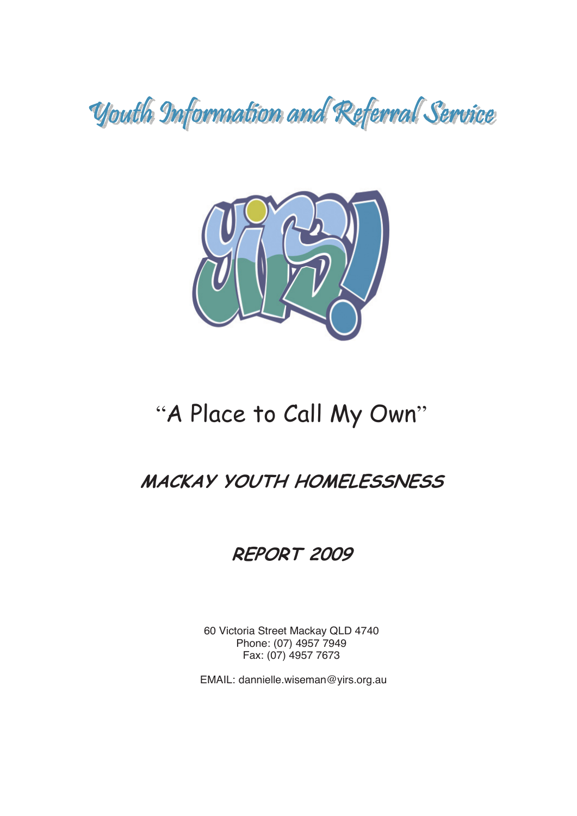Youth Information and Referral Service



# "A Place to Call My Own"

## **MACKAY YOUTH HOMELESSNESS**

## **REPORT 2009**

60 Victoria Street Mackay QLD 4740 Phone: (07) 4957 7949 Fax: (07) 4957 7673

EMAIL: dannielle.wiseman@yirs.org.au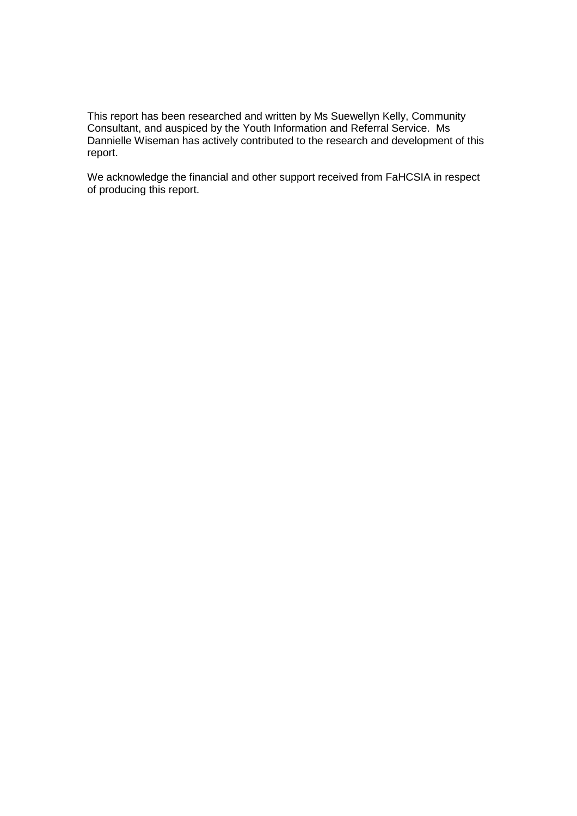This report has been researched and written by Ms Suewellyn Kelly, Community Consultant, and auspiced by the Youth Information and Referral Service. Ms Dannielle Wiseman has actively contributed to the research and development of this report.

We acknowledge the financial and other support received from FaHCSIA in respect of producing this report.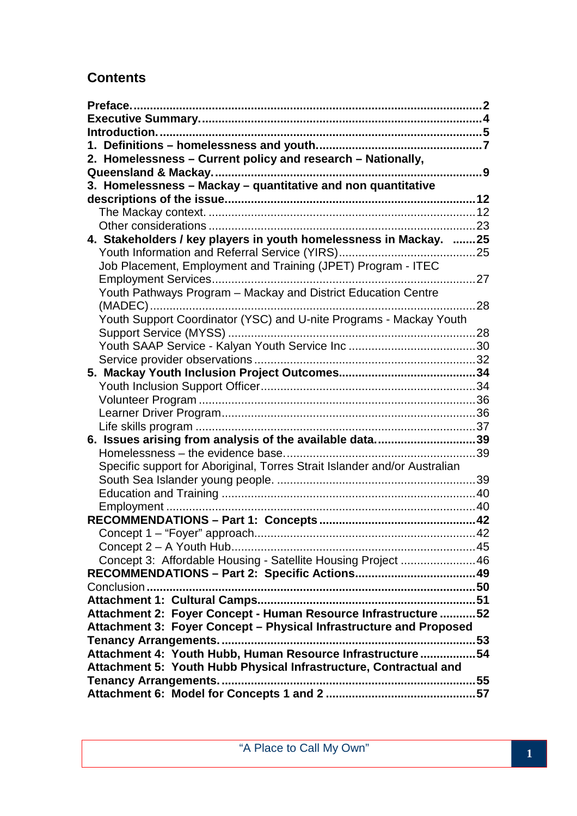## **Contents**

| 2. Homelessness - Current policy and research - Nationally,               |      |
|---------------------------------------------------------------------------|------|
|                                                                           |      |
| 3. Homelessness - Mackay - quantitative and non quantitative              |      |
|                                                                           |      |
|                                                                           |      |
|                                                                           |      |
| 4. Stakeholders / key players in youth homelessness in Mackay. 25         |      |
|                                                                           |      |
| Job Placement, Employment and Training (JPET) Program - ITEC              |      |
|                                                                           |      |
| Youth Pathways Program - Mackay and District Education Centre             |      |
|                                                                           | . 28 |
| Youth Support Coordinator (YSC) and U-nite Programs - Mackay Youth        |      |
|                                                                           |      |
|                                                                           |      |
|                                                                           |      |
|                                                                           |      |
|                                                                           |      |
|                                                                           |      |
|                                                                           |      |
| 6. Issues arising from analysis of the available data39                   |      |
|                                                                           |      |
| Specific support for Aboriginal, Torres Strait Islander and/or Australian |      |
|                                                                           |      |
|                                                                           |      |
|                                                                           |      |
|                                                                           |      |
|                                                                           |      |
|                                                                           |      |
| Concept 3: Affordable Housing - Satellite Housing Project 46              |      |
|                                                                           |      |
|                                                                           |      |
|                                                                           |      |
| Attachment 2: Foyer Concept - Human Resource Infrastructure  52           |      |
| Attachment 3: Foyer Concept - Physical Infrastructure and Proposed        |      |
|                                                                           |      |
| Attachment 4: Youth Hubb, Human Resource Infrastructure 54                |      |
| Attachment 5: Youth Hubb Physical Infrastructure, Contractual and         |      |
|                                                                           |      |
|                                                                           |      |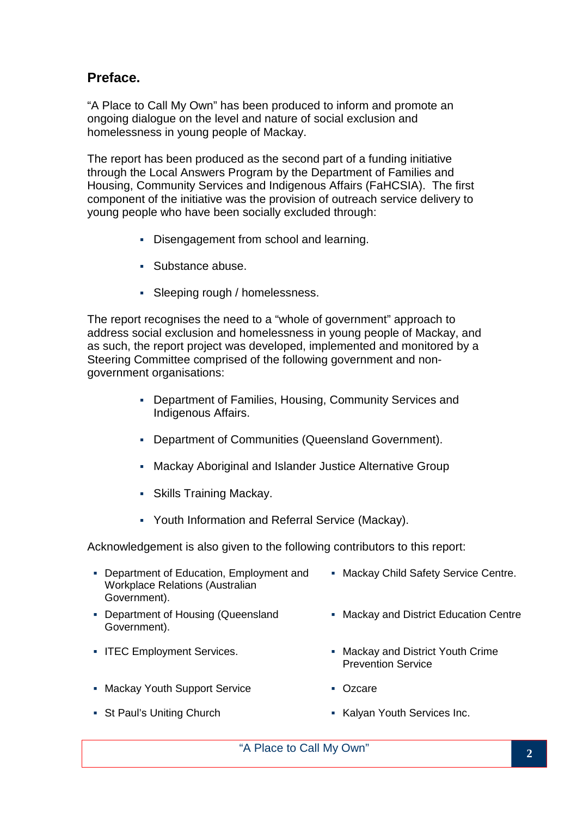## **Preface.**

"A Place to Call My Own" has been produced to inform and promote an ongoing dialogue on the level and nature of social exclusion and homelessness in young people of Mackay.

The report has been produced as the second part of a funding initiative through the Local Answers Program by the Department of Families and Housing, Community Services and Indigenous Affairs (FaHCSIA). The first component of the initiative was the provision of outreach service delivery to young people who have been socially excluded through:

- Disengagement from school and learning.
- Substance abuse.
- Sleeping rough / homelessness.

The report recognises the need to a "whole of government" approach to address social exclusion and homelessness in young people of Mackay, and as such, the report project was developed, implemented and monitored by a Steering Committee comprised of the following government and nongovernment organisations:

- Department of Families, Housing, Community Services and Indigenous Affairs.
- Department of Communities (Queensland Government).
- Mackay Aboriginal and Islander Justice Alternative Group
- Skills Training Mackay.
- Youth Information and Referral Service (Mackay).

Acknowledgement is also given to the following contributors to this report:

- Department of Education, Employment and Workplace Relations (Australian Government).
- **Department of Housing (Queensland** Government).
- 
- Mackay Youth Support Service **CENT** Ozcare
- 
- **Mackay Child Safety Service Centre.**
- **Mackay and District Education Centre**
- ITEC Employment Services. Mackay and District Youth Crime Prevention Service
	-
- St Paul's Uniting Church **Inc. Accord Changes** Kalyan Youth Services Inc.
	- "A Place to Call My Own" **<sup>2</sup>**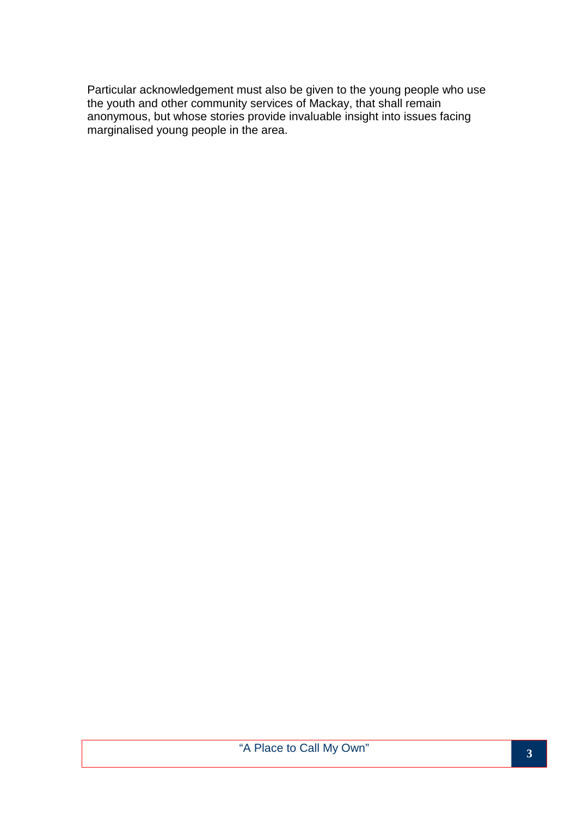Particular acknowledgement must also be given to the young people who use the youth and other community services of Mackay, that shall remain anonymous, but whose stories provide invaluable insight into issues facing marginalised young people in the area.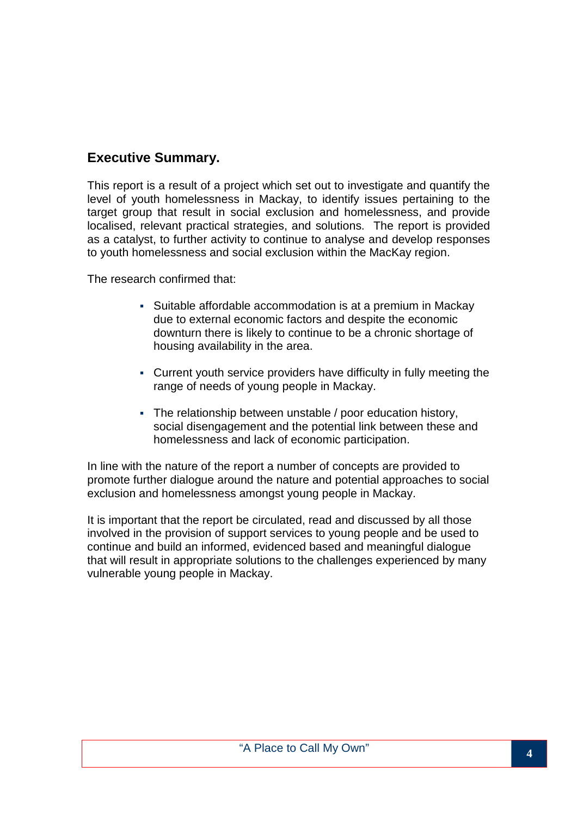## **Executive Summary.**

This report is a result of a project which set out to investigate and quantify the level of youth homelessness in Mackay, to identify issues pertaining to the target group that result in social exclusion and homelessness, and provide localised, relevant practical strategies, and solutions. The report is provided as a catalyst, to further activity to continue to analyse and develop responses to youth homelessness and social exclusion within the MacKay region.

The research confirmed that:

- Suitable affordable accommodation is at a premium in Mackay due to external economic factors and despite the economic downturn there is likely to continue to be a chronic shortage of housing availability in the area.
- Current youth service providers have difficulty in fully meeting the range of needs of young people in Mackay.
- The relationship between unstable / poor education history, social disengagement and the potential link between these and homelessness and lack of economic participation.

In line with the nature of the report a number of concepts are provided to promote further dialogue around the nature and potential approaches to social exclusion and homelessness amongst young people in Mackay.

It is important that the report be circulated, read and discussed by all those involved in the provision of support services to young people and be used to continue and build an informed, evidenced based and meaningful dialogue that will result in appropriate solutions to the challenges experienced by many vulnerable young people in Mackay.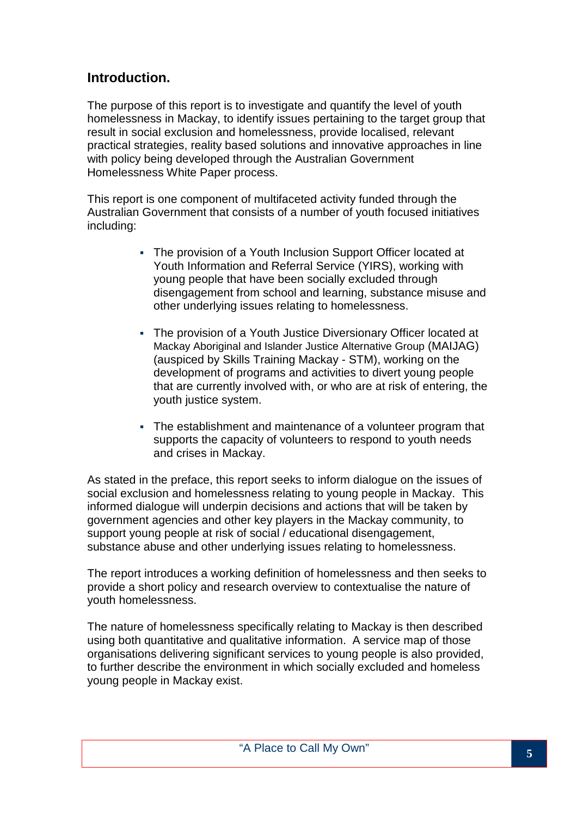## **Introduction.**

The purpose of this report is to investigate and quantify the level of youth homelessness in Mackay, to identify issues pertaining to the target group that result in social exclusion and homelessness, provide localised, relevant practical strategies, reality based solutions and innovative approaches in line with policy being developed through the Australian Government Homelessness White Paper process.

This report is one component of multifaceted activity funded through the Australian Government that consists of a number of youth focused initiatives including:

- The provision of a Youth Inclusion Support Officer located at Youth Information and Referral Service (YIRS), working with young people that have been socially excluded through disengagement from school and learning, substance misuse and other underlying issues relating to homelessness.
- The provision of a Youth Justice Diversionary Officer located at Mackay Aboriginal and Islander Justice Alternative Group (MAIJAG) (auspiced by Skills Training Mackay - STM), working on the development of programs and activities to divert young people that are currently involved with, or who are at risk of entering, the youth justice system.
- The establishment and maintenance of a volunteer program that supports the capacity of volunteers to respond to youth needs and crises in Mackay.

As stated in the preface, this report seeks to inform dialogue on the issues of social exclusion and homelessness relating to young people in Mackay. This informed dialogue will underpin decisions and actions that will be taken by government agencies and other key players in the Mackay community, to support young people at risk of social / educational disengagement, substance abuse and other underlying issues relating to homelessness.

The report introduces a working definition of homelessness and then seeks to provide a short policy and research overview to contextualise the nature of youth homelessness.

The nature of homelessness specifically relating to Mackay is then described using both quantitative and qualitative information. A service map of those organisations delivering significant services to young people is also provided, to further describe the environment in which socially excluded and homeless young people in Mackay exist.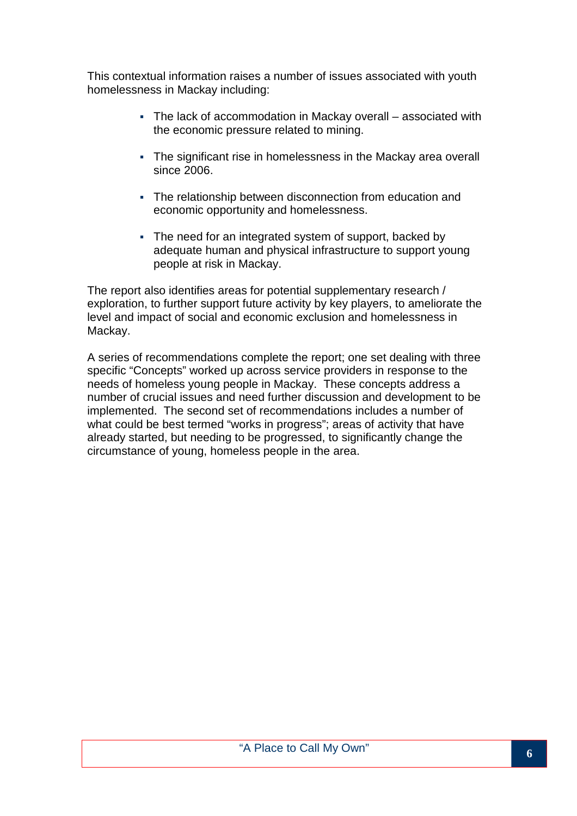This contextual information raises a number of issues associated with youth homelessness in Mackay including:

- The lack of accommodation in Mackay overall associated with the economic pressure related to mining.
- The significant rise in homelessness in the Mackay area overall since 2006.
- The relationship between disconnection from education and economic opportunity and homelessness.
- The need for an integrated system of support, backed by adequate human and physical infrastructure to support young people at risk in Mackay.

The report also identifies areas for potential supplementary research / exploration, to further support future activity by key players, to ameliorate the level and impact of social and economic exclusion and homelessness in Mackay.

A series of recommendations complete the report; one set dealing with three specific "Concepts" worked up across service providers in response to the needs of homeless young people in Mackay. These concepts address a number of crucial issues and need further discussion and development to be implemented. The second set of recommendations includes a number of what could be best termed "works in progress"; areas of activity that have already started, but needing to be progressed, to significantly change the circumstance of young, homeless people in the area.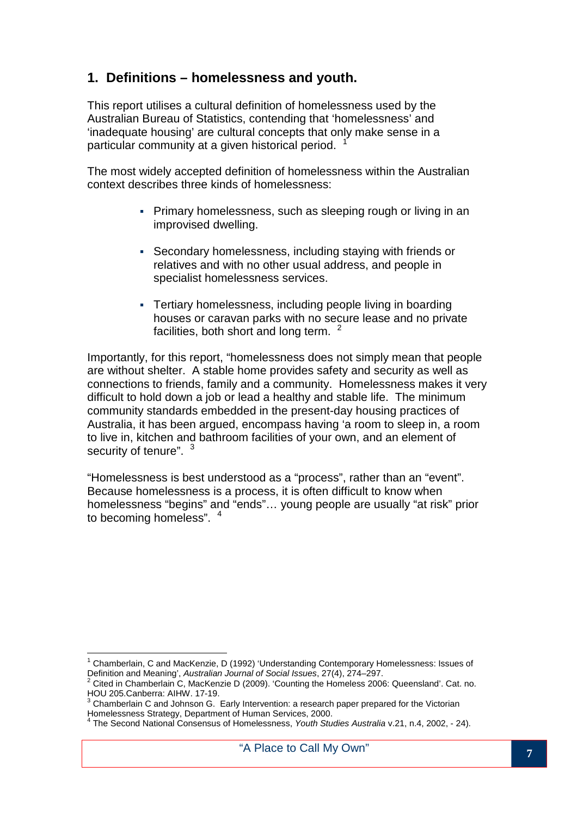## **1. Definitions – homelessness and youth.**

This report utilises a cultural definition of homelessness used by the Australian Bureau of Statistics, contending that 'homelessness' and 'inadequate housing' are cultural concepts that only make sense in a particular community at a given historical period. <sup>1</sup>

The most widely accepted definition of homelessness within the Australian context describes three kinds of homelessness:

- Primary homelessness, such as sleeping rough or living in an improvised dwelling.
- Secondary homelessness, including staying with friends or relatives and with no other usual address, and people in specialist homelessness services.
- Tertiary homelessness, including people living in boarding houses or caravan parks with no secure lease and no private facilities, both short and long term.  $2\pi$

Importantly, for this report, "homelessness does not simply mean that people are without shelter. A stable home provides safety and security as well as connections to friends, family and a community. Homelessness makes it very difficult to hold down a job or lead a healthy and stable life. The minimum community standards embedded in the present-day housing practices of Australia, it has been argued, encompass having 'a room to sleep in, a room to live in, kitchen and bathroom facilities of your own, and an element of security of tenure". <sup>3</sup>

"Homelessness is best understood as a "process", rather than an "event". Because homelessness is a process, it is often difficult to know when homelessness "begins" and "ends"… young people are usually "at risk" prior to becoming homeless". <sup>4</sup>

 $\overline{a}$ 

<sup>1</sup> Chamberlain, C and MacKenzie, D (1992) 'Understanding Contemporary Homelessness: Issues of Definition and Meaning', Australian Journal of Social Issues, 27(4), 274–297.

 $2$  Cited in Chamberlain C, MacKenzie D (2009). 'Counting the Homeless 2006: Queensland'. Cat. no. HOU 205.Canberra: AIHW. 17-19.

 $3$  Chamberlain C and Johnson G. Early Intervention: a research paper prepared for the Victorian Homelessness Strategy, Department of Human Services, 2000.<br><sup>4</sup> The Second National Consensue of Hamelessness, *Youth Stur* 

The Second National Consensus of Homelessness, Youth Studies Australia v.21, n.4, 2002, - 24).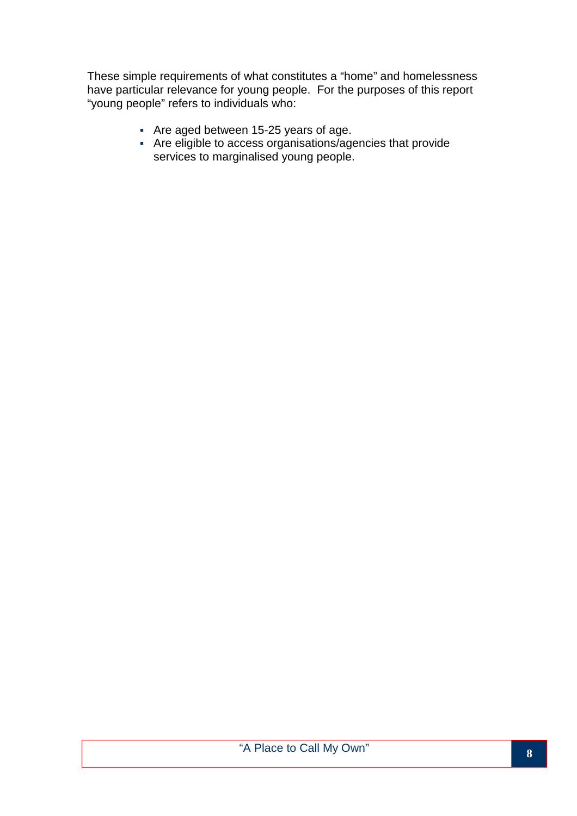These simple requirements of what constitutes a "home" and homelessness have particular relevance for young people. For the purposes of this report "young people" refers to individuals who:

- Are aged between 15-25 years of age.
- Are eligible to access organisations/agencies that provide services to marginalised young people.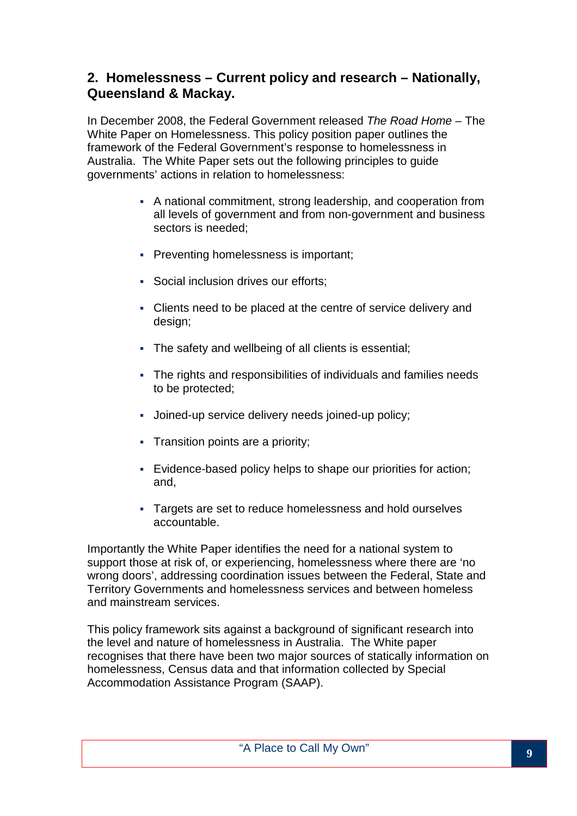## **2. Homelessness – Current policy and research – Nationally, Queensland & Mackay.**

In December 2008, the Federal Government released The Road Home – The White Paper on Homelessness. This policy position paper outlines the framework of the Federal Government's response to homelessness in Australia. The White Paper sets out the following principles to guide governments' actions in relation to homelessness:

- A national commitment, strong leadership, and cooperation from all levels of government and from non-government and business sectors is needed;
- **Preventing homelessness is important;**
- Social inclusion drives our efforts:
- Clients need to be placed at the centre of service delivery and design;
- The safety and wellbeing of all clients is essential;
- The rights and responsibilities of individuals and families needs to be protected;
- Joined-up service delivery needs joined-up policy;
- **Transition points are a priority;**
- Evidence-based policy helps to shape our priorities for action; and,
- Targets are set to reduce homelessness and hold ourselves accountable.

Importantly the White Paper identifies the need for a national system to support those at risk of, or experiencing, homelessness where there are 'no wrong doors', addressing coordination issues between the Federal, State and Territory Governments and homelessness services and between homeless and mainstream services.

This policy framework sits against a background of significant research into the level and nature of homelessness in Australia. The White paper recognises that there have been two major sources of statically information on homelessness, Census data and that information collected by Special Accommodation Assistance Program (SAAP).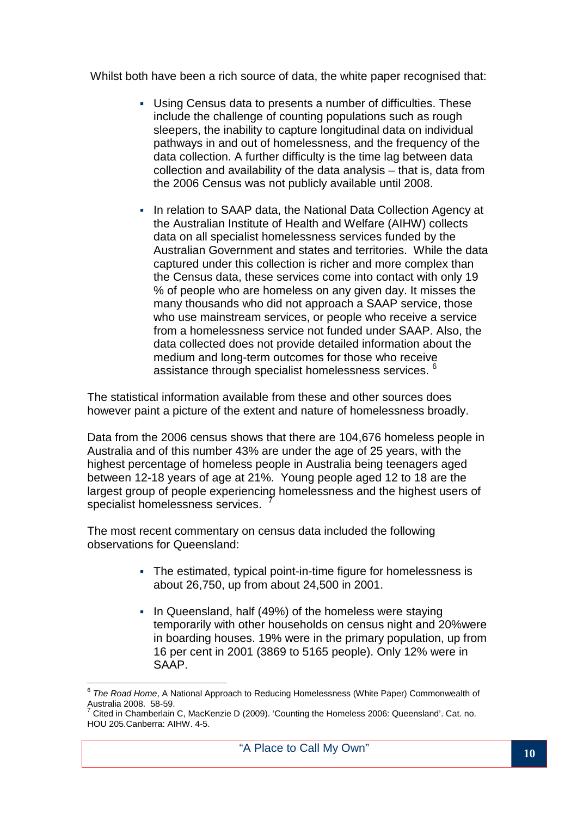Whilst both have been a rich source of data, the white paper recognised that:

- Using Census data to presents a number of difficulties. These include the challenge of counting populations such as rough sleepers, the inability to capture longitudinal data on individual pathways in and out of homelessness, and the frequency of the data collection. A further difficulty is the time lag between data collection and availability of the data analysis – that is, data from the 2006 Census was not publicly available until 2008.
- In relation to SAAP data, the National Data Collection Agency at the Australian Institute of Health and Welfare (AIHW) collects data on all specialist homelessness services funded by the Australian Government and states and territories. While the data captured under this collection is richer and more complex than the Census data, these services come into contact with only 19 % of people who are homeless on any given day. It misses the many thousands who did not approach a SAAP service, those who use mainstream services, or people who receive a service from a homelessness service not funded under SAAP. Also, the data collected does not provide detailed information about the medium and long-term outcomes for those who receive assistance through specialist homelessness services. <sup>6</sup>

The statistical information available from these and other sources does however paint a picture of the extent and nature of homelessness broadly.

Data from the 2006 census shows that there are 104,676 homeless people in Australia and of this number 43% are under the age of 25 years, with the highest percentage of homeless people in Australia being teenagers aged between 12-18 years of age at 21%. Young people aged 12 to 18 are the largest group of people experiencing homelessness and the highest users of specialist homelessness services. <sup>7</sup>

The most recent commentary on census data included the following observations for Queensland:

- The estimated, typical point-in-time figure for homelessness is about 26,750, up from about 24,500 in 2001.
- . In Queensland, half (49%) of the homeless were staying temporarily with other households on census night and 20%were in boarding houses. 19% were in the primary population, up from 16 per cent in 2001 (3869 to 5165 people). Only 12% were in SAAP.

 $\overline{a}$ 

 $6$  The Road Home, A National Approach to Reducing Homelessness (White Paper) Commonwealth of Australia 2008. 58-59.<br><sup>7</sup> Citad in Chamberlain.

Cited in Chamberlain C, MacKenzie D (2009). 'Counting the Homeless 2006: Queensland'. Cat. no. HOU 205.Canberra: AIHW. 4-5.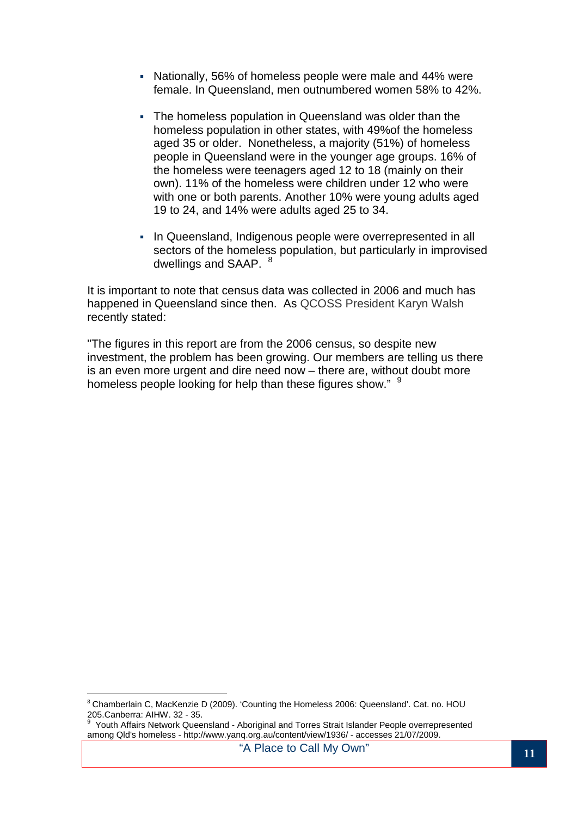- Nationally, 56% of homeless people were male and 44% were female. In Queensland, men outnumbered women 58% to 42%.
- The homeless population in Queensland was older than the homeless population in other states, with 49%of the homeless aged 35 or older. Nonetheless, a majority (51%) of homeless people in Queensland were in the younger age groups. 16% of the homeless were teenagers aged 12 to 18 (mainly on their own). 11% of the homeless were children under 12 who were with one or both parents. Another 10% were young adults aged 19 to 24, and 14% were adults aged 25 to 34.
- In Queensland, Indigenous people were overrepresented in all sectors of the homeless population, but particularly in improvised dwellings and SAAP. <sup>8</sup>

It is important to note that census data was collected in 2006 and much has happened in Queensland since then. As QCOSS President Karyn Walsh recently stated:

"The figures in this report are from the 2006 census, so despite new investment, the problem has been growing. Our members are telling us there is an even more urgent and dire need now – there are, without doubt more homeless people looking for help than these figures show." <sup>9</sup>

 $\overline{a}$ <sup>8</sup> Chamberlain C, MacKenzie D (2009). 'Counting the Homeless 2006: Queensland'. Cat. no. HOU 205. Canberra: AIHW. 32 - 35.<br><sup>9</sup> Youth Affairs Naturals Ouses

Youth Affairs Network Queensland - Aboriginal and Torres Strait Islander People overrepresented among Qld's homeless - http://www.yanq.org.au/content/view/1936/ - accesses 21/07/2009.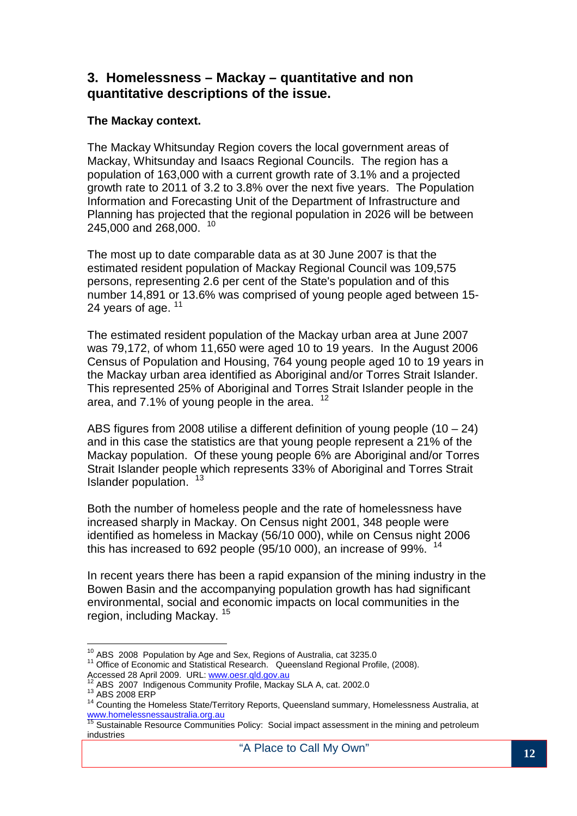### **3. Homelessness – Mackay – quantitative and non quantitative descriptions of the issue.**

#### **The Mackay context.**

The Mackay Whitsunday Region covers the local government areas of Mackay, Whitsunday and Isaacs Regional Councils. The region has a population of 163,000 with a current growth rate of 3.1% and a projected growth rate to 2011 of 3.2 to 3.8% over the next five years. The Population Information and Forecasting Unit of the Department of Infrastructure and Planning has projected that the regional population in 2026 will be between 245,000 and 268,000. <sup>10</sup>

The most up to date comparable data as at 30 June 2007 is that the estimated resident population of Mackay Regional Council was 109,575 persons, representing 2.6 per cent of the State's population and of this number 14,891 or 13.6% was comprised of young people aged between 15- 24 years of age. <sup>11</sup>

The estimated resident population of the Mackay urban area at June 2007 was 79,172, of whom 11,650 were aged 10 to 19 years. In the August 2006 Census of Population and Housing, 764 young people aged 10 to 19 years in the Mackay urban area identified as Aboriginal and/or Torres Strait Islander. This represented 25% of Aboriginal and Torres Strait Islander people in the area, and 7.1% of young people in the area.  $12$ 

ABS figures from 2008 utilise a different definition of young people  $(10 - 24)$ and in this case the statistics are that young people represent a 21% of the Mackay population. Of these young people 6% are Aboriginal and/or Torres Strait Islander people which represents 33% of Aboriginal and Torres Strait Islander population.<sup>13</sup>

Both the number of homeless people and the rate of homelessness have increased sharply in Mackay. On Census night 2001, 348 people were identified as homeless in Mackay (56/10 000), while on Census night 2006 this has increased to 692 people (95/10 000), an increase of 99%.  $14$ 

In recent years there has been a rapid expansion of the mining industry in the Bowen Basin and the accompanying population growth has had significant environmental, social and economic impacts on local communities in the region, including Mackay. <sup>15</sup>

 $\overline{\phantom{a}}$  $10^{10}$  ABS 2008 Population by Age and Sex, Regions of Australia, cat 3235.0

<sup>&</sup>lt;sup>11</sup> Office of Economic and Statistical Research. Queensland Regional Profile, (2008). Accessed 28 April 2009. URL: www.oesr.qld.gov.au

<sup>12</sup> ABS 2007 Indigenous Community Profile, Mackay SLA A, cat. 2002.0

<sup>&</sup>lt;sup>13</sup> ABS 2008 ERP

<sup>14</sup> Counting the Homeless State/Territory Reports, Queensland summary, Homelessness Australia, at www.homelessnessaustralia.org.au

www.homelessnessaustralia.org.au<br><sup>15</sup> Sustainable Resource Communities Policy: Social impact assessment in the mining and petroleum industries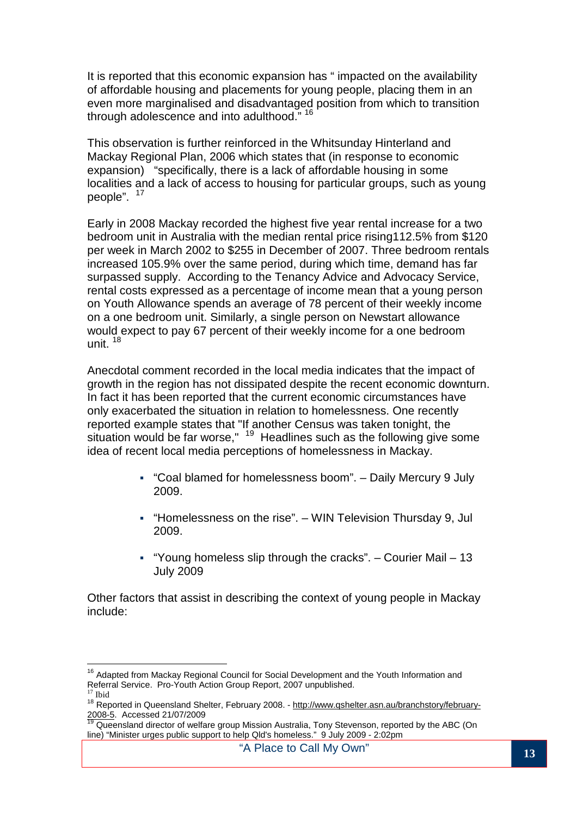It is reported that this economic expansion has " impacted on the availability of affordable housing and placements for young people, placing them in an even more marginalised and disadvantaged position from which to transition through adolescence and into adulthood." <sup>16</sup>

This observation is further reinforced in the Whitsunday Hinterland and Mackay Regional Plan, 2006 which states that (in response to economic expansion) "specifically, there is a lack of affordable housing in some localities and a lack of access to housing for particular groups, such as young people". <sup>17</sup>

Early in 2008 Mackay recorded the highest five year rental increase for a two bedroom unit in Australia with the median rental price rising112.5% from \$120 per week in March 2002 to \$255 in December of 2007. Three bedroom rentals increased 105.9% over the same period, during which time, demand has far surpassed supply. According to the Tenancy Advice and Advocacy Service, rental costs expressed as a percentage of income mean that a young person on Youth Allowance spends an average of 78 percent of their weekly income on a one bedroom unit. Similarly, a single person on Newstart allowance would expect to pay 67 percent of their weekly income for a one bedroom unit. <sup>18</sup>

Anecdotal comment recorded in the local media indicates that the impact of growth in the region has not dissipated despite the recent economic downturn. In fact it has been reported that the current economic circumstances have only exacerbated the situation in relation to homelessness. One recently reported example states that "If another Census was taken tonight, the situation would be far worse,"  $19$  Headlines such as the following give some idea of recent local media perceptions of homelessness in Mackay.

- "Coal blamed for homelessness boom". Daily Mercury 9 July 2009.
- "Homelessness on the rise". WIN Television Thursday 9, Jul 2009.
- " "Young homeless slip through the cracks".  $-$  Courier Mail  $-13$ July 2009

Other factors that assist in describing the context of young people in Mackay include:

 $\overline{a}$ <sup>16</sup> Adapted from Mackay Regional Council for Social Development and the Youth Information and Referral Service. Pro-Youth Action Group Report, 2007 unpublished.  $17$  Ibid

<sup>18&</sup>lt;br>Reported in Queensland Shelter, February 2008. - http://www.qshelter.asn.au/branchstory/february-2008-5. Accessed 21/07/2009

<sup>19</sup> Queensland director of welfare group Mission Australia, Tony Stevenson, reported by the ABC (On line) "Minister urges public support to help Qld's homeless." 9 July 2009 - 2:02pm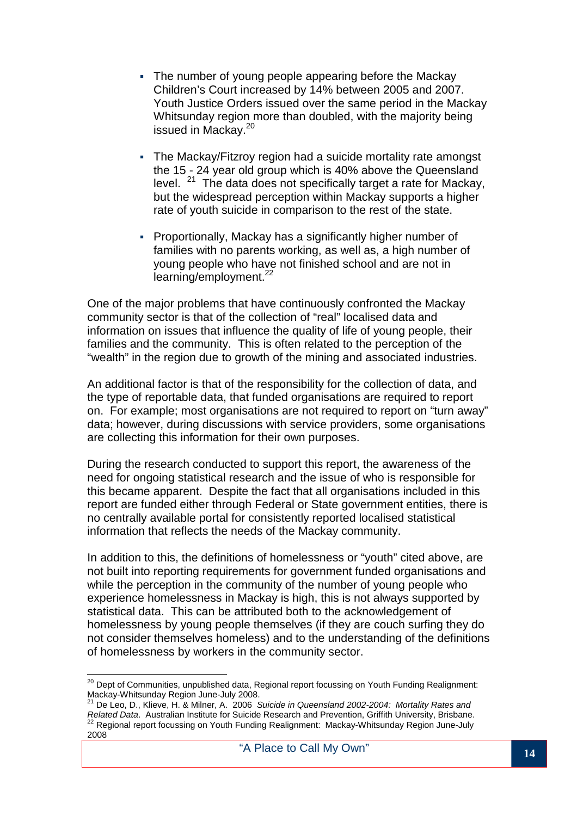- The number of young people appearing before the Mackay Children's Court increased by 14% between 2005 and 2007. Youth Justice Orders issued over the same period in the Mackay Whitsunday region more than doubled, with the majority being issued in Mackay.<sup>20</sup>
- The Mackay/Fitzroy region had a suicide mortality rate amongst the 15 - 24 year old group which is 40% above the Queensland level.  $21$  The data does not specifically target a rate for Mackay, but the widespread perception within Mackay supports a higher rate of youth suicide in comparison to the rest of the state.
- Proportionally, Mackay has a significantly higher number of families with no parents working, as well as, a high number of young people who have not finished school and are not in learning/employment.<sup>22</sup>

One of the major problems that have continuously confronted the Mackay community sector is that of the collection of "real" localised data and information on issues that influence the quality of life of young people, their families and the community. This is often related to the perception of the "wealth" in the region due to growth of the mining and associated industries.

An additional factor is that of the responsibility for the collection of data, and the type of reportable data, that funded organisations are required to report on. For example; most organisations are not required to report on "turn away" data; however, during discussions with service providers, some organisations are collecting this information for their own purposes.

During the research conducted to support this report, the awareness of the need for ongoing statistical research and the issue of who is responsible for this became apparent. Despite the fact that all organisations included in this report are funded either through Federal or State government entities, there is no centrally available portal for consistently reported localised statistical information that reflects the needs of the Mackay community.

In addition to this, the definitions of homelessness or "youth" cited above, are not built into reporting requirements for government funded organisations and while the perception in the community of the number of young people who experience homelessness in Mackay is high, this is not always supported by statistical data. This can be attributed both to the acknowledgement of homelessness by young people themselves (if they are couch surfing they do not consider themselves homeless) and to the understanding of the definitions of homelessness by workers in the community sector.

 $\overline{a}$ <sup>20</sup> Dept of Communities, unpublished data, Regional report focussing on Youth Funding Realignment: Mackay-Whitsunday Region June-July 2008.<br><sup>21</sup> De Leo D. Klieve, H. 8 Milese, A. 2222.

De Leo, D., Klieve, H. & Milner, A. 2006 Suicide in Queensland 2002-2004: Mortality Rates and Related Data. Australian Institute for Suicide Research and Prevention, Griffith University, Brisbane.  $22$  Regional report focussing on Youth Funding Realignment: Mackay-Whitsunday Region June-July 2008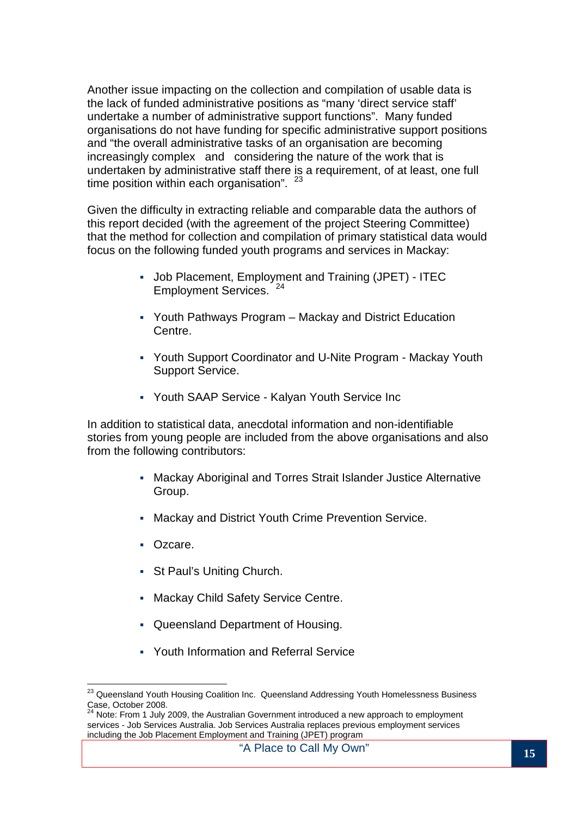Another issue impacting on the collection and compilation of usable data is the lack of funded administrative positions as "many 'direct service staff' undertake a number of administrative support functions". Many funded organisations do not have funding for specific administrative support positions and "the overall administrative tasks of an organisation are becoming increasingly complex and considering the nature of the work that is undertaken by administrative staff there is a requirement, of at least, one full time position within each organisation".  $23$ 

Given the difficulty in extracting reliable and comparable data the authors of this report decided (with the agreement of the project Steering Committee) that the method for collection and compilation of primary statistical data would focus on the following funded youth programs and services in Mackay:

- Job Placement, Employment and Training (JPET) ITEC Employment Services.<sup>24</sup>
- Youth Pathways Program Mackay and District Education Centre.
- Youth Support Coordinator and U-Nite Program Mackay Youth Support Service.
- Youth SAAP Service Kalyan Youth Service Inc

In addition to statistical data, anecdotal information and non-identifiable stories from young people are included from the above organisations and also from the following contributors:

- Mackay Aboriginal and Torres Strait Islander Justice Alternative Group.
- Mackay and District Youth Crime Prevention Service.
- **C**zcare.

 $\overline{a}$ 

- **St Paul's Uniting Church.**
- **Mackay Child Safety Service Centre.**
- Queensland Department of Housing.
- Youth Information and Referral Service

<sup>&</sup>lt;sup>23</sup> Queensland Youth Housing Coalition Inc. Queensland Addressing Youth Homelessness Business Case, October 2008.

Note: From 1 July 2009, the Australian Government introduced a new approach to employment services - Job Services Australia. Job Services Australia replaces previous employment services including the Job Placement Employment and Training (JPET) program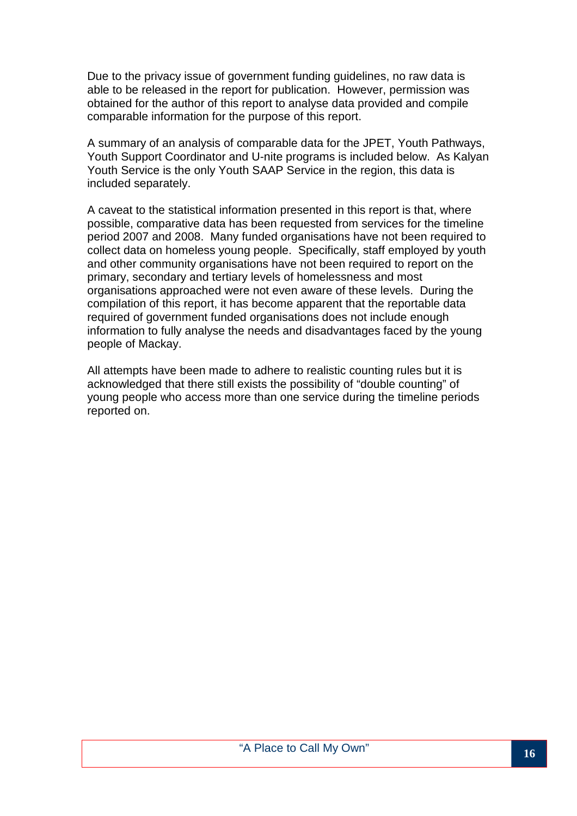Due to the privacy issue of government funding guidelines, no raw data is able to be released in the report for publication. However, permission was obtained for the author of this report to analyse data provided and compile comparable information for the purpose of this report.

A summary of an analysis of comparable data for the JPET, Youth Pathways, Youth Support Coordinator and U-nite programs is included below. As Kalyan Youth Service is the only Youth SAAP Service in the region, this data is included separately.

A caveat to the statistical information presented in this report is that, where possible, comparative data has been requested from services for the timeline period 2007 and 2008. Many funded organisations have not been required to collect data on homeless young people. Specifically, staff employed by youth and other community organisations have not been required to report on the primary, secondary and tertiary levels of homelessness and most organisations approached were not even aware of these levels. During the compilation of this report, it has become apparent that the reportable data required of government funded organisations does not include enough information to fully analyse the needs and disadvantages faced by the young people of Mackay.

All attempts have been made to adhere to realistic counting rules but it is acknowledged that there still exists the possibility of "double counting" of young people who access more than one service during the timeline periods reported on.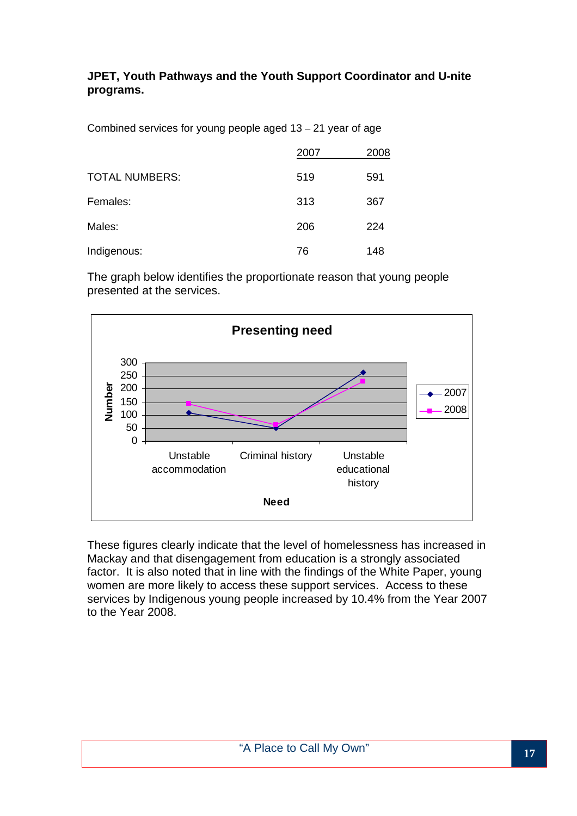#### **JPET, Youth Pathways and the Youth Support Coordinator and U-nite programs.**

Combined services for young people aged 13 – 21 year of age

|                       | 2007 | 2008 |
|-----------------------|------|------|
| <b>TOTAL NUMBERS:</b> | 519  | 591  |
| Females:              | 313  | 367  |
| Males:                | 206  | 224  |
| Indigenous:           | 76   | 148  |

The graph below identifies the proportionate reason that young people presented at the services.



These figures clearly indicate that the level of homelessness has increased in Mackay and that disengagement from education is a strongly associated factor. It is also noted that in line with the findings of the White Paper, young women are more likely to access these support services. Access to these services by Indigenous young people increased by 10.4% from the Year 2007 to the Year 2008.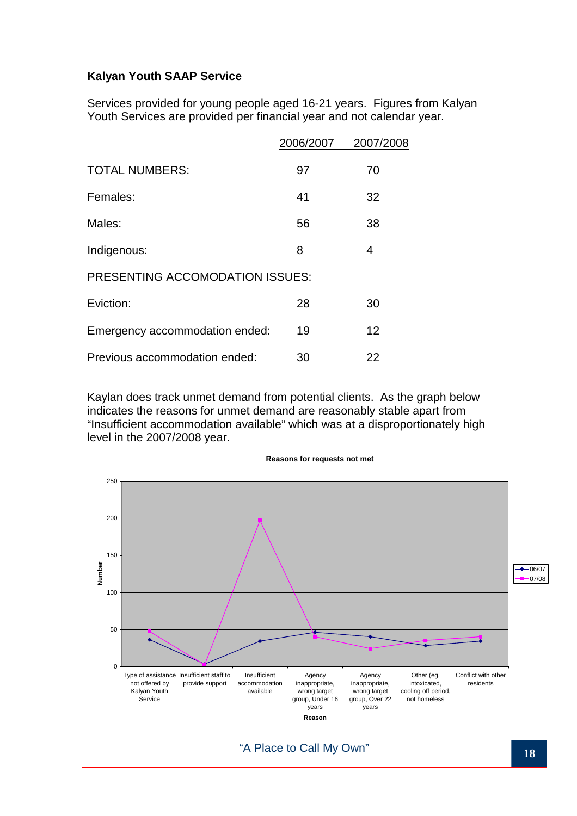#### **Kalyan Youth SAAP Service**

Services provided for young people aged 16-21 years. Figures from Kalyan Youth Services are provided per financial year and not calendar year.

|                                        | 2006/2007 | 2007/2008 |
|----------------------------------------|-----------|-----------|
| <b>TOTAL NUMBERS:</b>                  | 97        | 70        |
| Females:                               | 41        | 32        |
| Males:                                 | 56        | 38        |
| Indigenous:                            | 8         | 4         |
| <b>PRESENTING ACCOMODATION ISSUES:</b> |           |           |
| Eviction:                              | 28        | 30        |
| Emergency accommodation ended:         | 19        | 12        |
| Previous accommodation ended:          | 30        | 22        |

Kaylan does track unmet demand from potential clients. As the graph below indicates the reasons for unmet demand are reasonably stable apart from "Insufficient accommodation available" which was at a disproportionately high level in the 2007/2008 year.



**Reasons for requests not met**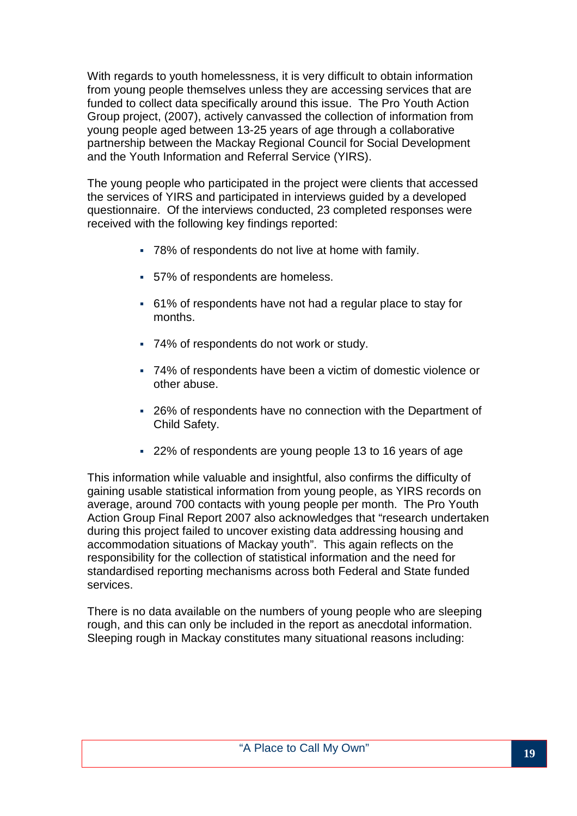With regards to youth homelessness, it is very difficult to obtain information from young people themselves unless they are accessing services that are funded to collect data specifically around this issue. The Pro Youth Action Group project, (2007), actively canvassed the collection of information from young people aged between 13-25 years of age through a collaborative partnership between the Mackay Regional Council for Social Development and the Youth Information and Referral Service (YIRS).

The young people who participated in the project were clients that accessed the services of YIRS and participated in interviews guided by a developed questionnaire. Of the interviews conducted, 23 completed responses were received with the following key findings reported:

- 78% of respondents do not live at home with family.
- 57% of respondents are homeless.
- 61% of respondents have not had a regular place to stay for months.
- 74% of respondents do not work or study.
- 74% of respondents have been a victim of domestic violence or other abuse.
- 26% of respondents have no connection with the Department of Child Safety.
- 22% of respondents are young people 13 to 16 years of age

This information while valuable and insightful, also confirms the difficulty of gaining usable statistical information from young people, as YIRS records on average, around 700 contacts with young people per month. The Pro Youth Action Group Final Report 2007 also acknowledges that "research undertaken during this project failed to uncover existing data addressing housing and accommodation situations of Mackay youth". This again reflects on the responsibility for the collection of statistical information and the need for standardised reporting mechanisms across both Federal and State funded services.

There is no data available on the numbers of young people who are sleeping rough, and this can only be included in the report as anecdotal information. Sleeping rough in Mackay constitutes many situational reasons including: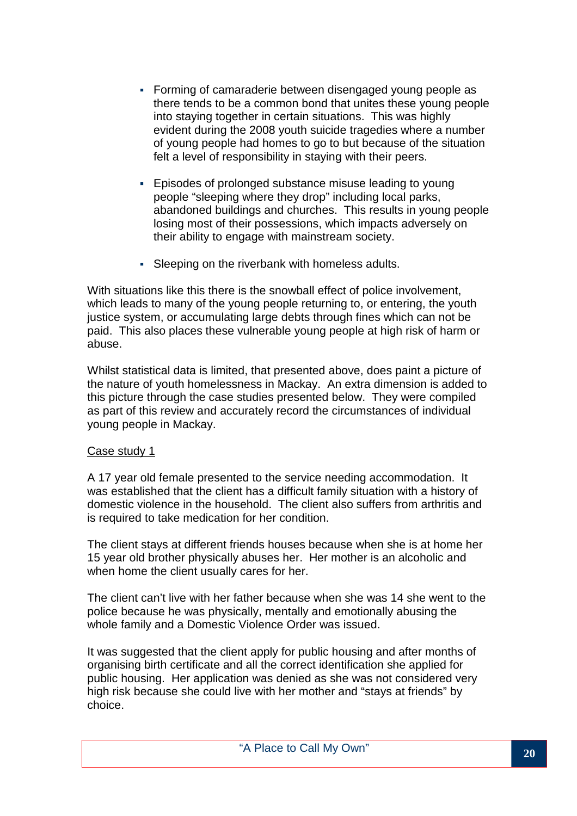- Forming of camaraderie between disengaged young people as there tends to be a common bond that unites these young people into staying together in certain situations. This was highly evident during the 2008 youth suicide tragedies where a number of young people had homes to go to but because of the situation felt a level of responsibility in staying with their peers.
- Episodes of prolonged substance misuse leading to young people "sleeping where they drop" including local parks, abandoned buildings and churches. This results in young people losing most of their possessions, which impacts adversely on their ability to engage with mainstream society.
- Sleeping on the riverbank with homeless adults.

With situations like this there is the snowball effect of police involvement, which leads to many of the young people returning to, or entering, the youth justice system, or accumulating large debts through fines which can not be paid. This also places these vulnerable young people at high risk of harm or abuse.

Whilst statistical data is limited, that presented above, does paint a picture of the nature of youth homelessness in Mackay. An extra dimension is added to this picture through the case studies presented below. They were compiled as part of this review and accurately record the circumstances of individual young people in Mackay.

#### Case study 1

A 17 year old female presented to the service needing accommodation. It was established that the client has a difficult family situation with a history of domestic violence in the household. The client also suffers from arthritis and is required to take medication for her condition.

The client stays at different friends houses because when she is at home her 15 year old brother physically abuses her. Her mother is an alcoholic and when home the client usually cares for her.

The client can't live with her father because when she was 14 she went to the police because he was physically, mentally and emotionally abusing the whole family and a Domestic Violence Order was issued.

It was suggested that the client apply for public housing and after months of organising birth certificate and all the correct identification she applied for public housing. Her application was denied as she was not considered very high risk because she could live with her mother and "stays at friends" by choice.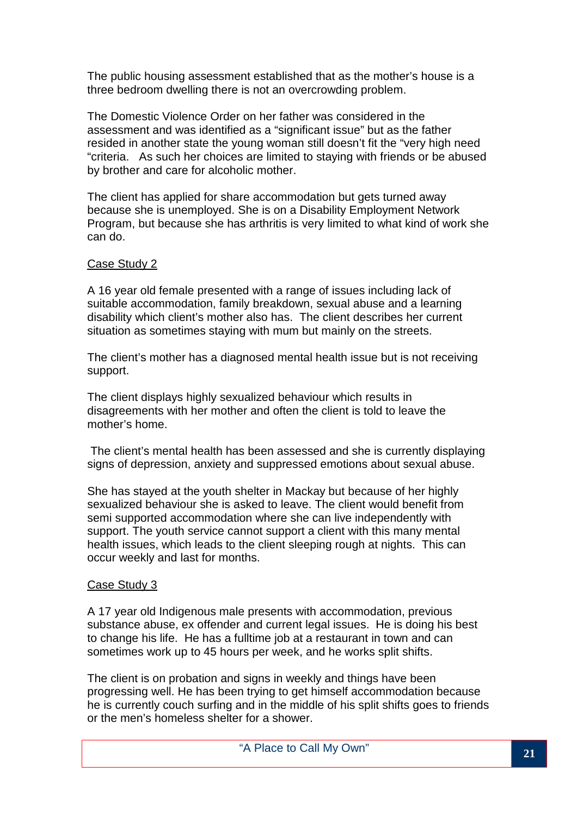The public housing assessment established that as the mother's house is a three bedroom dwelling there is not an overcrowding problem.

The Domestic Violence Order on her father was considered in the assessment and was identified as a "significant issue" but as the father resided in another state the young woman still doesn't fit the "very high need "criteria. As such her choices are limited to staying with friends or be abused by brother and care for alcoholic mother.

The client has applied for share accommodation but gets turned away because she is unemployed. She is on a Disability Employment Network Program, but because she has arthritis is very limited to what kind of work she can do.

#### Case Study 2

A 16 year old female presented with a range of issues including lack of suitable accommodation, family breakdown, sexual abuse and a learning disability which client's mother also has. The client describes her current situation as sometimes staying with mum but mainly on the streets.

The client's mother has a diagnosed mental health issue but is not receiving support.

The client displays highly sexualized behaviour which results in disagreements with her mother and often the client is told to leave the mother's home.

 The client's mental health has been assessed and she is currently displaying signs of depression, anxiety and suppressed emotions about sexual abuse.

She has stayed at the youth shelter in Mackay but because of her highly sexualized behaviour she is asked to leave. The client would benefit from semi supported accommodation where she can live independently with support. The youth service cannot support a client with this many mental health issues, which leads to the client sleeping rough at nights. This can occur weekly and last for months.

#### Case Study 3

A 17 year old Indigenous male presents with accommodation, previous substance abuse, ex offender and current legal issues. He is doing his best to change his life. He has a fulltime job at a restaurant in town and can sometimes work up to 45 hours per week, and he works split shifts.

The client is on probation and signs in weekly and things have been progressing well. He has been trying to get himself accommodation because he is currently couch surfing and in the middle of his split shifts goes to friends or the men's homeless shelter for a shower.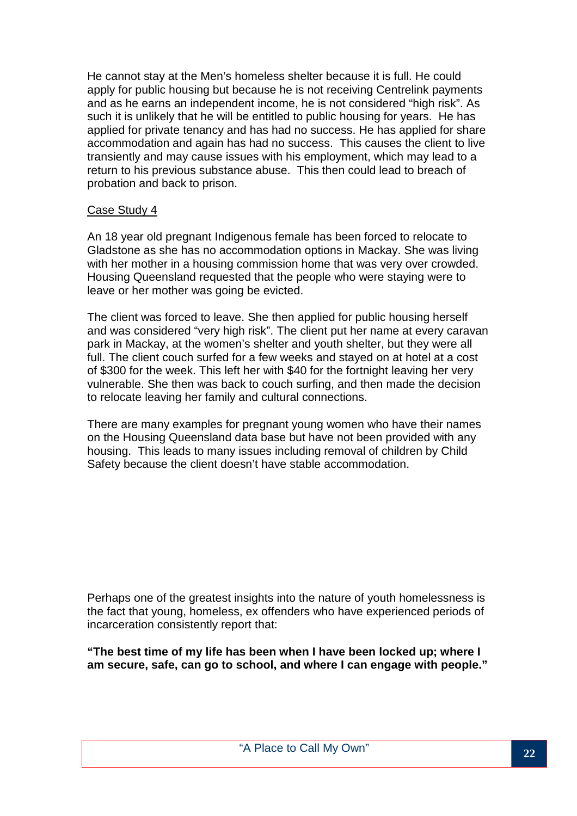He cannot stay at the Men's homeless shelter because it is full. He could apply for public housing but because he is not receiving Centrelink payments and as he earns an independent income, he is not considered "high risk". As such it is unlikely that he will be entitled to public housing for years. He has applied for private tenancy and has had no success. He has applied for share accommodation and again has had no success. This causes the client to live transiently and may cause issues with his employment, which may lead to a return to his previous substance abuse. This then could lead to breach of probation and back to prison.

#### Case Study 4

An 18 year old pregnant Indigenous female has been forced to relocate to Gladstone as she has no accommodation options in Mackay. She was living with her mother in a housing commission home that was very over crowded. Housing Queensland requested that the people who were staying were to leave or her mother was going be evicted.

The client was forced to leave. She then applied for public housing herself and was considered "very high risk". The client put her name at every caravan park in Mackay, at the women's shelter and youth shelter, but they were all full. The client couch surfed for a few weeks and stayed on at hotel at a cost of \$300 for the week. This left her with \$40 for the fortnight leaving her very vulnerable. She then was back to couch surfing, and then made the decision to relocate leaving her family and cultural connections.

There are many examples for pregnant young women who have their names on the Housing Queensland data base but have not been provided with any housing. This leads to many issues including removal of children by Child Safety because the client doesn't have stable accommodation.

Perhaps one of the greatest insights into the nature of youth homelessness is the fact that young, homeless, ex offenders who have experienced periods of incarceration consistently report that:

**"The best time of my life has been when I have been locked up; where I am secure, safe, can go to school, and where I can engage with people."**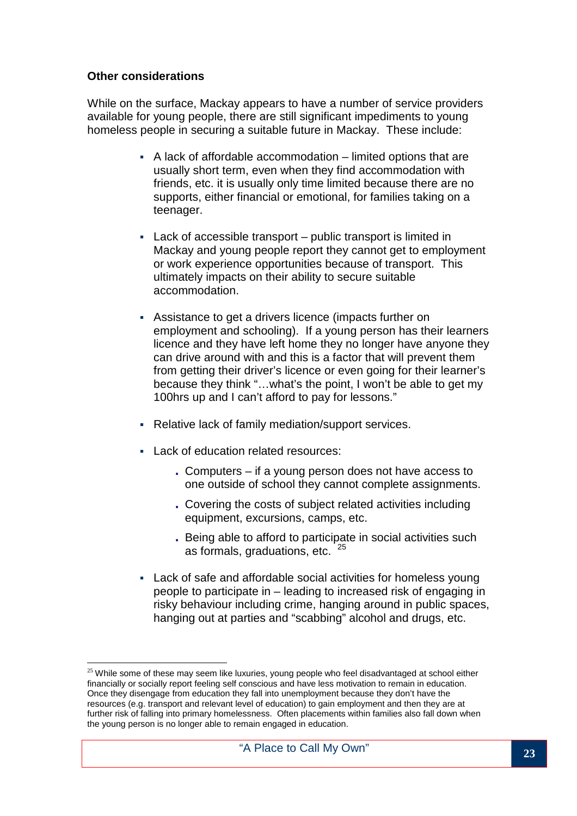#### **Other considerations**

While on the surface, Mackay appears to have a number of service providers available for young people, there are still significant impediments to young homeless people in securing a suitable future in Mackay. These include:

- A lack of affordable accommodation limited options that are usually short term, even when they find accommodation with friends, etc. it is usually only time limited because there are no supports, either financial or emotional, for families taking on a teenager.
- Lack of accessible transport public transport is limited in Mackay and young people report they cannot get to employment or work experience opportunities because of transport. This ultimately impacts on their ability to secure suitable accommodation.
- Assistance to get a drivers licence (impacts further on employment and schooling). If a young person has their learners licence and they have left home they no longer have anyone they can drive around with and this is a factor that will prevent them from getting their driver's licence or even going for their learner's because they think "…what's the point, I won't be able to get my 100hrs up and I can't afford to pay for lessons."
- Relative lack of family mediation/support services.
- **Lack of education related resources:** 
	- . Computers if a young person does not have access to one outside of school they cannot complete assignments.
	- . Covering the costs of subject related activities including equipment, excursions, camps, etc.
	- . Being able to afford to participate in social activities such as formals, graduations, etc. <sup>25</sup>
- Lack of safe and affordable social activities for homeless young people to participate in – leading to increased risk of engaging in risky behaviour including crime, hanging around in public spaces, hanging out at parties and "scabbing" alcohol and drugs, etc.

 $\overline{a}$  $^{25}$  While some of these may seem like luxuries, young people who feel disadvantaged at school either financially or socially report feeling self conscious and have less motivation to remain in education. Once they disengage from education they fall into unemployment because they don't have the resources (e.g. transport and relevant level of education) to gain employment and then they are at further risk of falling into primary homelessness. Often placements within families also fall down when the young person is no longer able to remain engaged in education.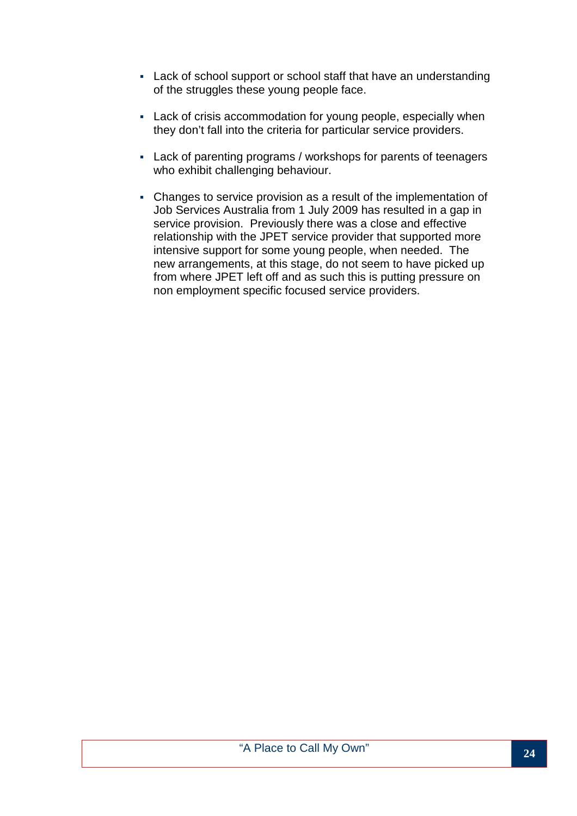- Lack of school support or school staff that have an understanding of the struggles these young people face.
- Lack of crisis accommodation for young people, especially when they don't fall into the criteria for particular service providers.
- Lack of parenting programs / workshops for parents of teenagers who exhibit challenging behaviour.
- Changes to service provision as a result of the implementation of Job Services Australia from 1 July 2009 has resulted in a gap in service provision. Previously there was a close and effective relationship with the JPET service provider that supported more intensive support for some young people, when needed. The new arrangements, at this stage, do not seem to have picked up from where JPET left off and as such this is putting pressure on non employment specific focused service providers.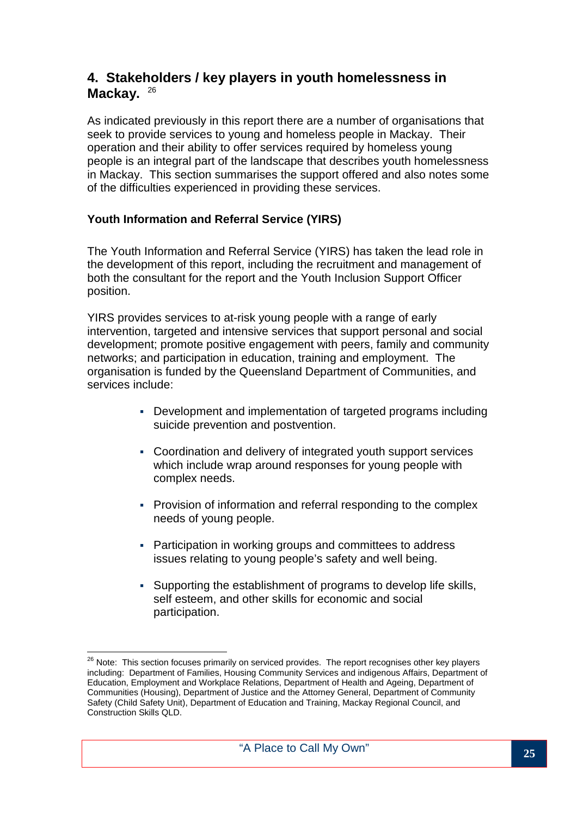## **4. Stakeholders / key players in youth homelessness in**  Mackay. 26

As indicated previously in this report there are a number of organisations that seek to provide services to young and homeless people in Mackay. Their operation and their ability to offer services required by homeless young people is an integral part of the landscape that describes youth homelessness in Mackay. This section summarises the support offered and also notes some of the difficulties experienced in providing these services.

#### **Youth Information and Referral Service (YIRS)**

The Youth Information and Referral Service (YIRS) has taken the lead role in the development of this report, including the recruitment and management of both the consultant for the report and the Youth Inclusion Support Officer position.

YIRS provides services to at-risk young people with a range of early intervention, targeted and intensive services that support personal and social development; promote positive engagement with peers, family and community networks; and participation in education, training and employment. The organisation is funded by the Queensland Department of Communities, and services include:

- Development and implementation of targeted programs including suicide prevention and postvention.
- Coordination and delivery of integrated youth support services which include wrap around responses for young people with complex needs.
- Provision of information and referral responding to the complex needs of young people.
- Participation in working groups and committees to address issues relating to young people's safety and well being.
- Supporting the establishment of programs to develop life skills, self esteem, and other skills for economic and social participation.

 $\overline{a}$ <sup>26</sup> Note: This section focuses primarily on serviced provides. The report recognises other key players including: Department of Families, Housing Community Services and indigenous Affairs, Department of Education, Employment and Workplace Relations, Department of Health and Ageing, Department of Communities (Housing), Department of Justice and the Attorney General, Department of Community Safety (Child Safety Unit), Department of Education and Training, Mackay Regional Council, and Construction Skills QLD.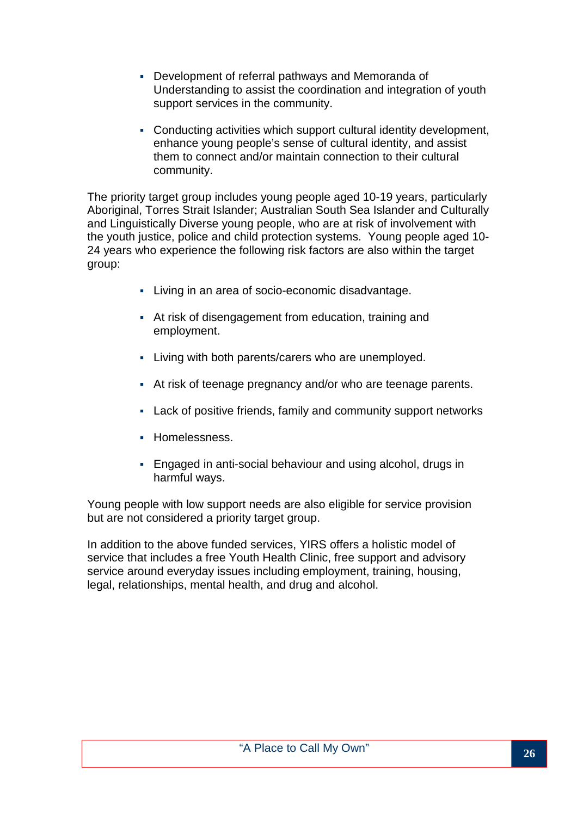- Development of referral pathways and Memoranda of Understanding to assist the coordination and integration of youth support services in the community.
- Conducting activities which support cultural identity development, enhance young people's sense of cultural identity, and assist them to connect and/or maintain connection to their cultural community.

The priority target group includes young people aged 10-19 years, particularly Aboriginal, Torres Strait Islander; Australian South Sea Islander and Culturally and Linguistically Diverse young people, who are at risk of involvement with the youth justice, police and child protection systems. Young people aged 10- 24 years who experience the following risk factors are also within the target group:

- Living in an area of socio-economic disadvantage.
- At risk of disengagement from education, training and employment.
- Living with both parents/carers who are unemployed.
- At risk of teenage pregnancy and/or who are teenage parents.
- Lack of positive friends, family and community support networks
- **Homelessness.**
- Engaged in anti-social behaviour and using alcohol, drugs in harmful ways.

Young people with low support needs are also eligible for service provision but are not considered a priority target group.

In addition to the above funded services, YIRS offers a holistic model of service that includes a free Youth Health Clinic, free support and advisory service around everyday issues including employment, training, housing, legal, relationships, mental health, and drug and alcohol.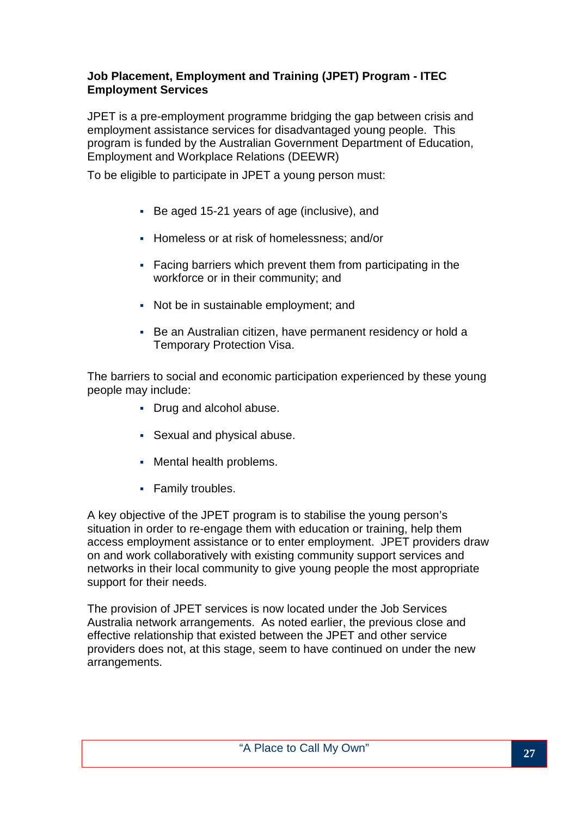#### **Job Placement, Employment and Training (JPET) Program - ITEC Employment Services**

JPET is a pre-employment programme bridging the gap between crisis and employment assistance services for disadvantaged young people. This program is funded by the Australian Government Department of Education, Employment and Workplace Relations (DEEWR)

To be eligible to participate in JPET a young person must:

- Be aged 15-21 years of age (inclusive), and
- **Homeless or at risk of homelessness; and/or**
- Facing barriers which prevent them from participating in the workforce or in their community; and
- Not be in sustainable employment; and
- Be an Australian citizen, have permanent residency or hold a Temporary Protection Visa.

The barriers to social and economic participation experienced by these young people may include:

- Drug and alcohol abuse.
- Sexual and physical abuse.
- Mental health problems.
- **Family troubles.**

A key objective of the JPET program is to stabilise the young person's situation in order to re-engage them with education or training, help them access employment assistance or to enter employment. JPET providers draw on and work collaboratively with existing community support services and networks in their local community to give young people the most appropriate support for their needs.

The provision of JPET services is now located under the Job Services Australia network arrangements. As noted earlier, the previous close and effective relationship that existed between the JPET and other service providers does not, at this stage, seem to have continued on under the new arrangements.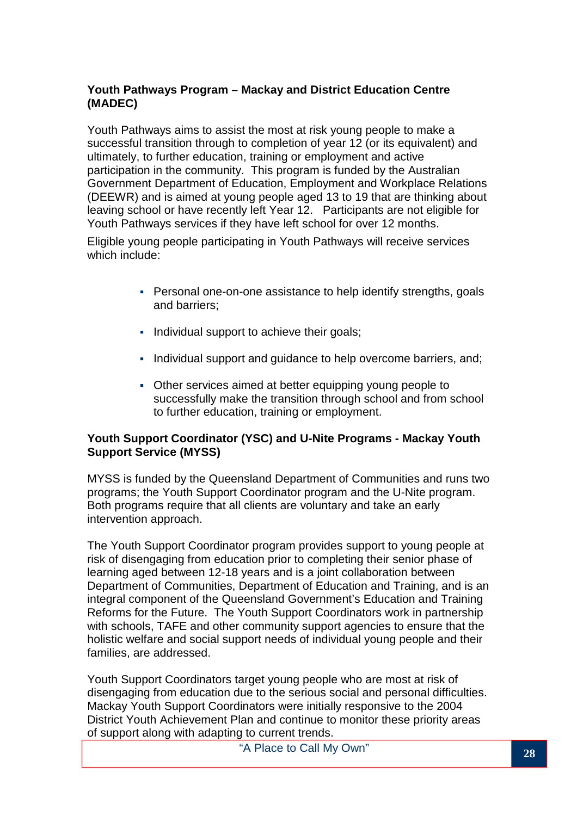#### **Youth Pathways Program – Mackay and District Education Centre (MADEC)**

Youth Pathways aims to assist the most at risk young people to make a successful transition through to completion of year 12 (or its equivalent) and ultimately, to further education, training or employment and active participation in the community. This program is funded by the Australian Government Department of Education, Employment and Workplace Relations (DEEWR) and is aimed at young people aged 13 to 19 that are thinking about leaving school or have recently left Year 12. Participants are not eligible for Youth Pathways services if they have left school for over 12 months.

Eligible young people participating in Youth Pathways will receive services which include:

- Personal one-on-one assistance to help identify strengths, goals and barriers;
- Individual support to achieve their goals;
- Individual support and quidance to help overcome barriers, and;
- Other services aimed at better equipping young people to successfully make the transition through school and from school to further education, training or employment.

#### **Youth Support Coordinator (YSC) and U-Nite Programs - Mackay Youth Support Service (MYSS)**

MYSS is funded by the Queensland Department of Communities and runs two programs; the Youth Support Coordinator program and the U-Nite program. Both programs require that all clients are voluntary and take an early intervention approach.

The Youth Support Coordinator program provides support to young people at risk of disengaging from education prior to completing their senior phase of learning aged between 12-18 years and is a joint collaboration between Department of Communities, Department of Education and Training, and is an integral component of the Queensland Government's Education and Training Reforms for the Future. The Youth Support Coordinators work in partnership with schools, TAFE and other community support agencies to ensure that the holistic welfare and social support needs of individual young people and their families, are addressed.

Youth Support Coordinators target young people who are most at risk of disengaging from education due to the serious social and personal difficulties. Mackay Youth Support Coordinators were initially responsive to the 2004 District Youth Achievement Plan and continue to monitor these priority areas of support along with adapting to current trends.

"A Place to Call My Own" **<sup>28</sup>**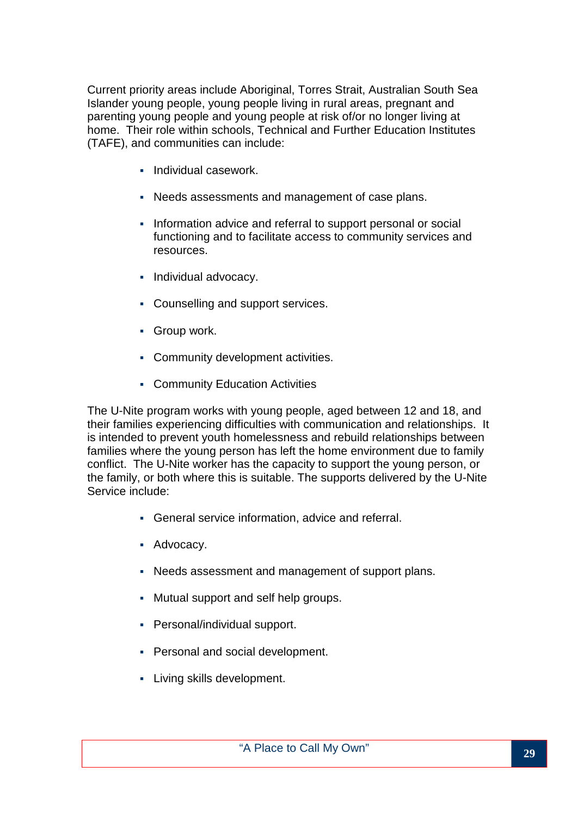Current priority areas include Aboriginal, Torres Strait, Australian South Sea Islander young people, young people living in rural areas, pregnant and parenting young people and young people at risk of/or no longer living at home. Their role within schools, Technical and Further Education Institutes (TAFE), and communities can include:

- **Individual casework.**
- Needs assessments and management of case plans.
- Information advice and referral to support personal or social functioning and to facilitate access to community services and resources.
- Individual advocacy.
- Counselling and support services.
- **Group work.**
- Community development activities.
- **Community Education Activities**

The U-Nite program works with young people, aged between 12 and 18, and their families experiencing difficulties with communication and relationships. It is intended to prevent youth homelessness and rebuild relationships between families where the young person has left the home environment due to family conflict. The U-Nite worker has the capacity to support the young person, or the family, or both where this is suitable. The supports delivered by the U-Nite Service include:

- General service information, advice and referral.
- **Advocacy.**
- Needs assessment and management of support plans.
- Mutual support and self help groups.
- Personal/individual support.
- **Personal and social development.**
- **Living skills development.**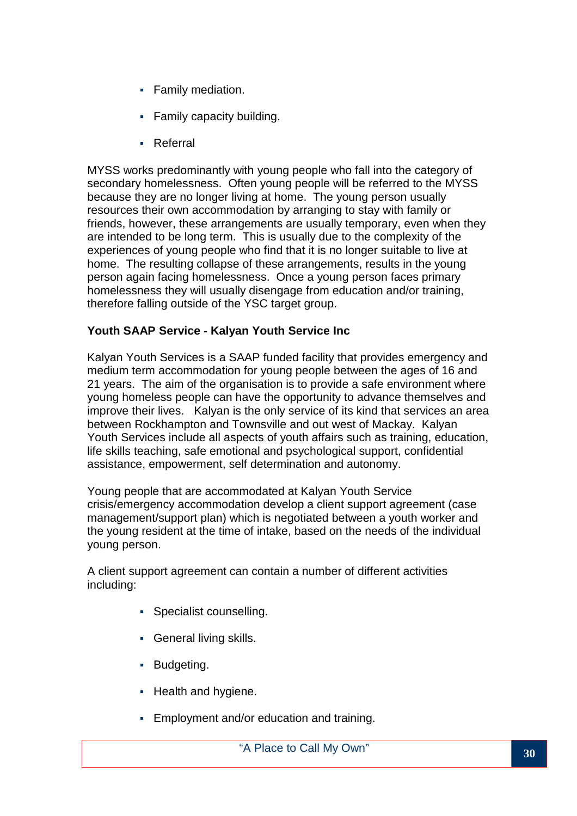- **Family mediation.**
- Family capacity building.
- Referral

MYSS works predominantly with young people who fall into the category of secondary homelessness. Often young people will be referred to the MYSS because they are no longer living at home. The young person usually resources their own accommodation by arranging to stay with family or friends, however, these arrangements are usually temporary, even when they are intended to be long term. This is usually due to the complexity of the experiences of young people who find that it is no longer suitable to live at home. The resulting collapse of these arrangements, results in the young person again facing homelessness. Once a young person faces primary homelessness they will usually disengage from education and/or training, therefore falling outside of the YSC target group.

#### **Youth SAAP Service - Kalyan Youth Service Inc**

Kalyan Youth Services is a SAAP funded facility that provides emergency and medium term accommodation for young people between the ages of 16 and 21 years. The aim of the organisation is to provide a safe environment where young homeless people can have the opportunity to advance themselves and improve their lives. Kalyan is the only service of its kind that services an area between Rockhampton and Townsville and out west of Mackay. Kalyan Youth Services include all aspects of youth affairs such as training, education, life skills teaching, safe emotional and psychological support, confidential assistance, empowerment, self determination and autonomy.

Young people that are accommodated at Kalyan Youth Service crisis/emergency accommodation develop a client support agreement (case management/support plan) which is negotiated between a youth worker and the young resident at the time of intake, based on the needs of the individual young person.

A client support agreement can contain a number of different activities including:

- Specialist counselling.
- **General living skills.**
- **Budgeting.**
- **Health and hygiene.**
- Employment and/or education and training.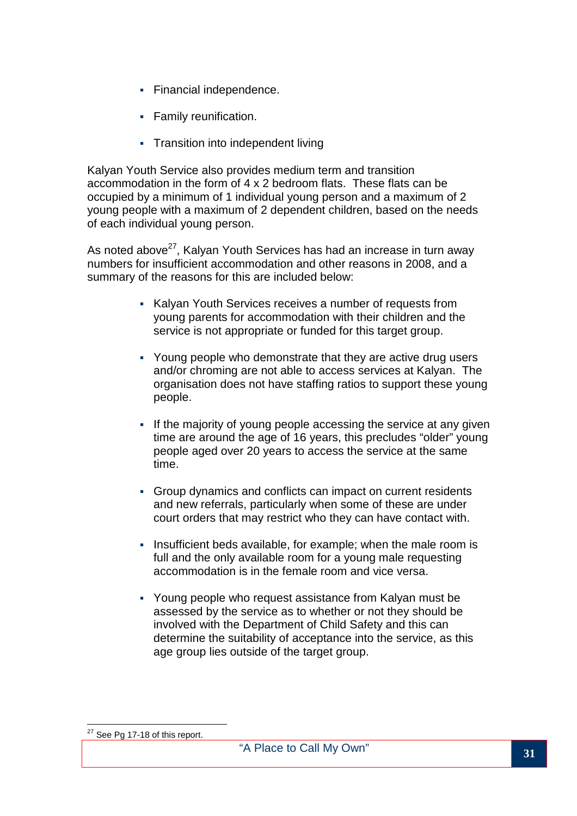- **Financial independence.**
- **Family reunification.**
- Transition into independent living

Kalyan Youth Service also provides medium term and transition accommodation in the form of 4 x 2 bedroom flats. These flats can be occupied by a minimum of 1 individual young person and a maximum of 2 young people with a maximum of 2 dependent children, based on the needs of each individual young person.

As noted above<sup>27</sup>. Kalyan Youth Services has had an increase in turn away numbers for insufficient accommodation and other reasons in 2008, and a summary of the reasons for this are included below:

- Kalyan Youth Services receives a number of requests from young parents for accommodation with their children and the service is not appropriate or funded for this target group.
- Young people who demonstrate that they are active drug users and/or chroming are not able to access services at Kalyan. The organisation does not have staffing ratios to support these young people.
- If the majority of young people accessing the service at any given time are around the age of 16 years, this precludes "older" young people aged over 20 years to access the service at the same time.
- Group dynamics and conflicts can impact on current residents and new referrals, particularly when some of these are under court orders that may restrict who they can have contact with.
- Insufficient beds available, for example; when the male room is full and the only available room for a young male requesting accommodation is in the female room and vice versa.
- Young people who request assistance from Kalyan must be assessed by the service as to whether or not they should be involved with the Department of Child Safety and this can determine the suitability of acceptance into the service, as this age group lies outside of the target group.

 $\overline{a}$ 

 $27$  See Pg 17-18 of this report.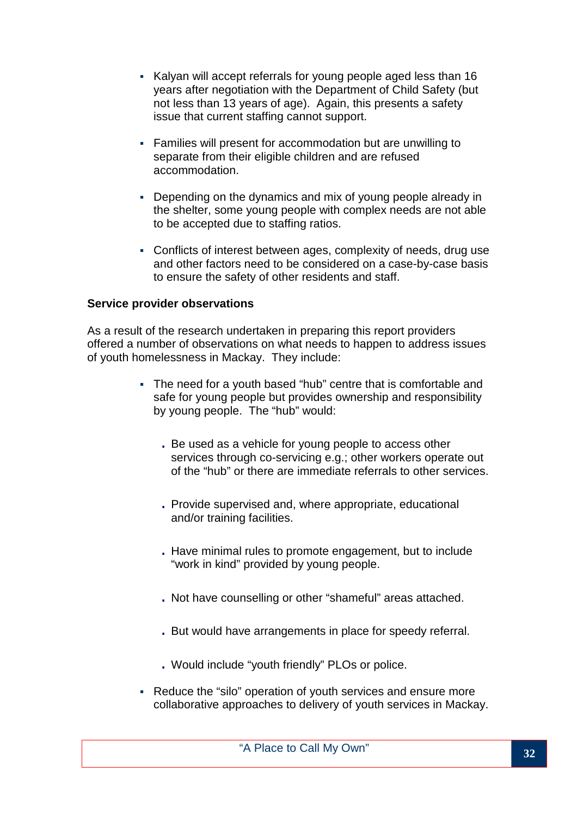- Kalyan will accept referrals for young people aged less than 16 years after negotiation with the Department of Child Safety (but not less than 13 years of age). Again, this presents a safety issue that current staffing cannot support.
- Families will present for accommodation but are unwilling to separate from their eligible children and are refused accommodation.
- Depending on the dynamics and mix of young people already in the shelter, some young people with complex needs are not able to be accepted due to staffing ratios.
- Conflicts of interest between ages, complexity of needs, drug use and other factors need to be considered on a case-by-case basis to ensure the safety of other residents and staff.

#### **Service provider observations**

As a result of the research undertaken in preparing this report providers offered a number of observations on what needs to happen to address issues of youth homelessness in Mackay. They include:

- The need for a youth based "hub" centre that is comfortable and safe for young people but provides ownership and responsibility by young people. The "hub" would:
	- . Be used as a vehicle for young people to access other services through co-servicing e.g.; other workers operate out of the "hub" or there are immediate referrals to other services.
	- . Provide supervised and, where appropriate, educational and/or training facilities.
	- . Have minimal rules to promote engagement, but to include "work in kind" provided by young people.
	- . Not have counselling or other "shameful" areas attached.
	- . But would have arrangements in place for speedy referral.
	- . Would include "youth friendly" PLOs or police.
- Reduce the "silo" operation of youth services and ensure more collaborative approaches to delivery of youth services in Mackay.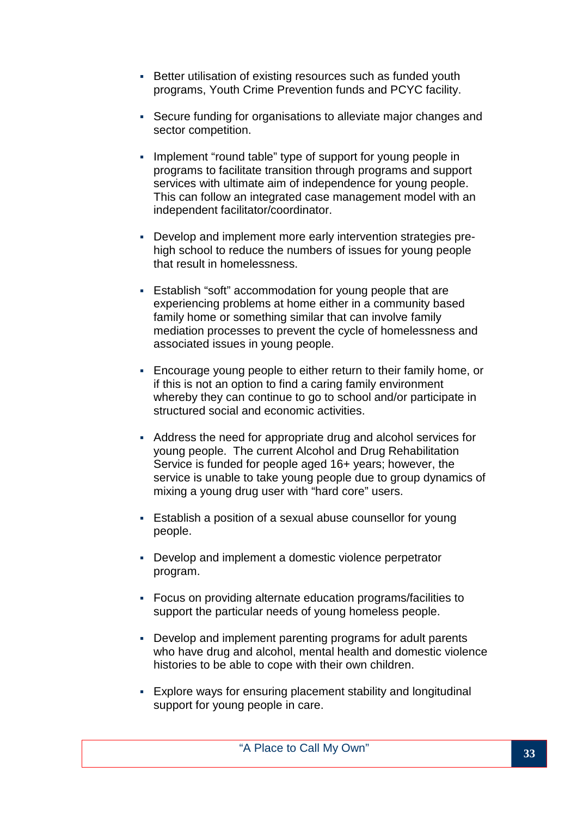- Better utilisation of existing resources such as funded youth programs, Youth Crime Prevention funds and PCYC facility.
- Secure funding for organisations to alleviate major changes and sector competition.
- Implement "round table" type of support for young people in programs to facilitate transition through programs and support services with ultimate aim of independence for young people. This can follow an integrated case management model with an independent facilitator/coordinator.
- Develop and implement more early intervention strategies prehigh school to reduce the numbers of issues for young people that result in homelessness.
- Establish "soft" accommodation for young people that are experiencing problems at home either in a community based family home or something similar that can involve family mediation processes to prevent the cycle of homelessness and associated issues in young people.
- Encourage young people to either return to their family home, or if this is not an option to find a caring family environment whereby they can continue to go to school and/or participate in structured social and economic activities.
- Address the need for appropriate drug and alcohol services for young people. The current Alcohol and Drug Rehabilitation Service is funded for people aged 16+ years; however, the service is unable to take young people due to group dynamics of mixing a young drug user with "hard core" users.
- Establish a position of a sexual abuse counsellor for young people.
- Develop and implement a domestic violence perpetrator program.
- Focus on providing alternate education programs/facilities to support the particular needs of young homeless people.
- Develop and implement parenting programs for adult parents who have drug and alcohol, mental health and domestic violence histories to be able to cope with their own children.
- Explore ways for ensuring placement stability and longitudinal support for young people in care.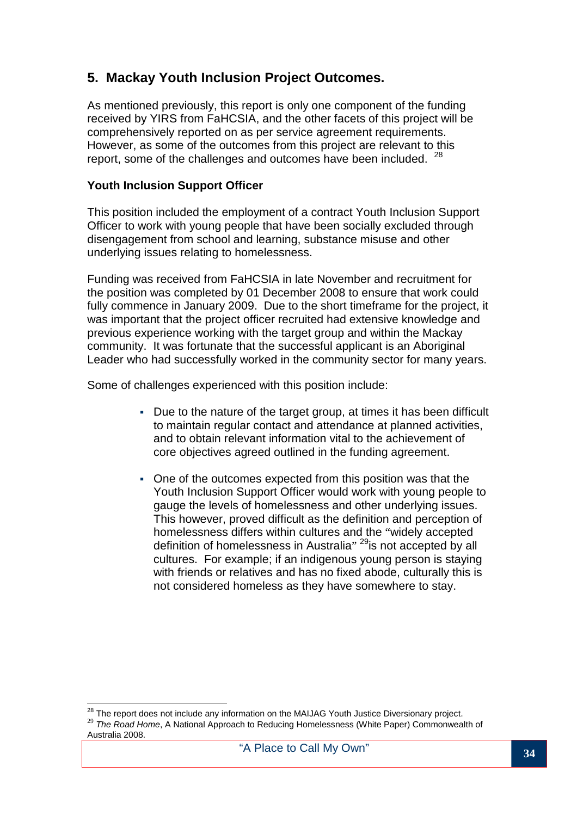## **5. Mackay Youth Inclusion Project Outcomes.**

As mentioned previously, this report is only one component of the funding received by YIRS from FaHCSIA, and the other facets of this project will be comprehensively reported on as per service agreement requirements. However, as some of the outcomes from this project are relevant to this report, some of the challenges and outcomes have been included.  $28$ 

#### **Youth Inclusion Support Officer**

This position included the employment of a contract Youth Inclusion Support Officer to work with young people that have been socially excluded through disengagement from school and learning, substance misuse and other underlying issues relating to homelessness.

Funding was received from FaHCSIA in late November and recruitment for the position was completed by 01 December 2008 to ensure that work could fully commence in January 2009. Due to the short timeframe for the project, it was important that the project officer recruited had extensive knowledge and previous experience working with the target group and within the Mackay community. It was fortunate that the successful applicant is an Aboriginal Leader who had successfully worked in the community sector for many years.

Some of challenges experienced with this position include:

- Due to the nature of the target group, at times it has been difficult to maintain regular contact and attendance at planned activities, and to obtain relevant information vital to the achievement of core objectives agreed outlined in the funding agreement.
- One of the outcomes expected from this position was that the Youth Inclusion Support Officer would work with young people to gauge the levels of homelessness and other underlying issues. This however, proved difficult as the definition and perception of homelessness differs within cultures and the "widely accepted definition of homelessness in Australia" <sup>29</sup>is not accepted by all cultures. For example; if an indigenous young person is staying with friends or relatives and has no fixed abode, culturally this is not considered homeless as they have somewhere to stay.

Australia 2008.

 $\overline{a}$ 

 $^{28}$  The report does not include any information on the MAIJAG Youth Justice Diversionary project. <sup>29</sup> The Road Home, A National Approach to Reducing Homelessness (White Paper) Commonwealth of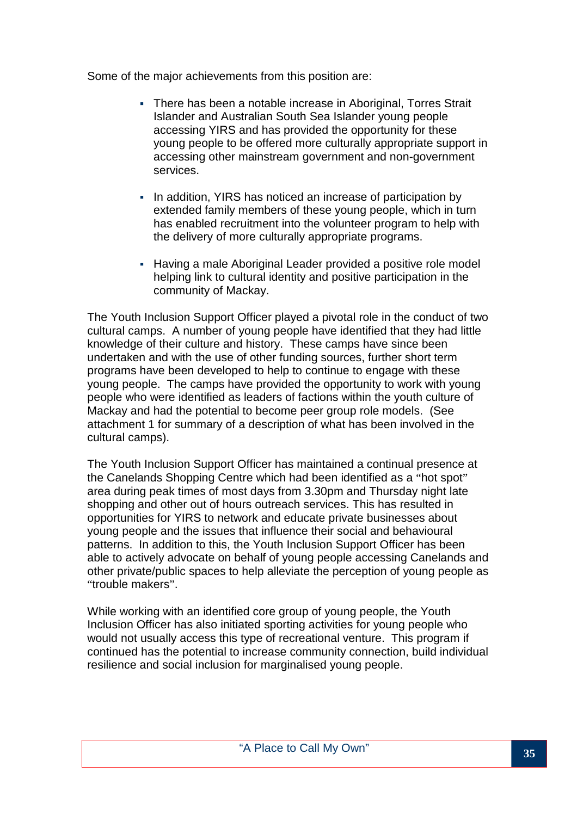Some of the major achievements from this position are:

- There has been a notable increase in Aboriginal, Torres Strait Islander and Australian South Sea Islander young people accessing YIRS and has provided the opportunity for these young people to be offered more culturally appropriate support in accessing other mainstream government and non-government services.
- In addition, YIRS has noticed an increase of participation by extended family members of these young people, which in turn has enabled recruitment into the volunteer program to help with the delivery of more culturally appropriate programs.
- Having a male Aboriginal Leader provided a positive role model helping link to cultural identity and positive participation in the community of Mackay.

The Youth Inclusion Support Officer played a pivotal role in the conduct of two cultural camps. A number of young people have identified that they had little knowledge of their culture and history. These camps have since been undertaken and with the use of other funding sources, further short term programs have been developed to help to continue to engage with these young people. The camps have provided the opportunity to work with young people who were identified as leaders of factions within the youth culture of Mackay and had the potential to become peer group role models. (See attachment 1 for summary of a description of what has been involved in the cultural camps).

The Youth Inclusion Support Officer has maintained a continual presence at the Canelands Shopping Centre which had been identified as a "hot spot" area during peak times of most days from 3.30pm and Thursday night late shopping and other out of hours outreach services. This has resulted in opportunities for YIRS to network and educate private businesses about young people and the issues that influence their social and behavioural patterns. In addition to this, the Youth Inclusion Support Officer has been able to actively advocate on behalf of young people accessing Canelands and other private/public spaces to help alleviate the perception of young people as "trouble makers".

While working with an identified core group of young people, the Youth Inclusion Officer has also initiated sporting activities for young people who would not usually access this type of recreational venture. This program if continued has the potential to increase community connection, build individual resilience and social inclusion for marginalised young people.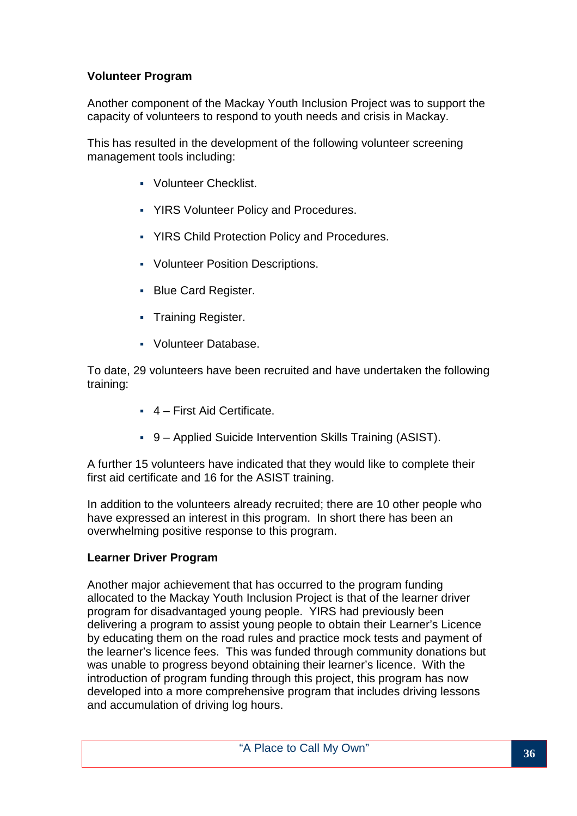#### **Volunteer Program**

Another component of the Mackay Youth Inclusion Project was to support the capacity of volunteers to respond to youth needs and crisis in Mackay.

This has resulted in the development of the following volunteer screening management tools including:

- Volunteer Checklist.
- YIRS Volunteer Policy and Procedures.
- YIRS Child Protection Policy and Procedures.
- Volunteer Position Descriptions.
- **Blue Card Register.**
- Training Register.
- Volunteer Database.

To date, 29 volunteers have been recruited and have undertaken the following training:

- 4 First Aid Certificate.
- 9 Applied Suicide Intervention Skills Training (ASIST).

A further 15 volunteers have indicated that they would like to complete their first aid certificate and 16 for the ASIST training.

In addition to the volunteers already recruited; there are 10 other people who have expressed an interest in this program. In short there has been an overwhelming positive response to this program.

#### **Learner Driver Program**

Another major achievement that has occurred to the program funding allocated to the Mackay Youth Inclusion Project is that of the learner driver program for disadvantaged young people. YIRS had previously been delivering a program to assist young people to obtain their Learner's Licence by educating them on the road rules and practice mock tests and payment of the learner's licence fees. This was funded through community donations but was unable to progress beyond obtaining their learner's licence. With the introduction of program funding through this project, this program has now developed into a more comprehensive program that includes driving lessons and accumulation of driving log hours.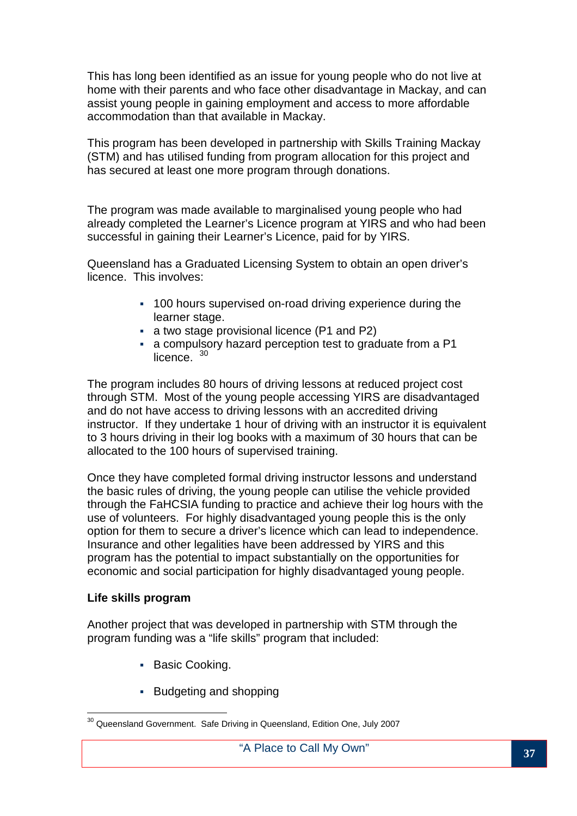This has long been identified as an issue for young people who do not live at home with their parents and who face other disadvantage in Mackay, and can assist young people in gaining employment and access to more affordable accommodation than that available in Mackay.

This program has been developed in partnership with Skills Training Mackay (STM) and has utilised funding from program allocation for this project and has secured at least one more program through donations.

The program was made available to marginalised young people who had already completed the Learner's Licence program at YIRS and who had been successful in gaining their Learner's Licence, paid for by YIRS.

Queensland has a Graduated Licensing System to obtain an open driver's licence. This involves:

- 100 hours supervised on-road driving experience during the learner stage.
- a two stage provisional licence (P1 and P2)
- a compulsory hazard perception test to graduate from a P1 licence.<sup>30</sup>

The program includes 80 hours of driving lessons at reduced project cost through STM. Most of the young people accessing YIRS are disadvantaged and do not have access to driving lessons with an accredited driving instructor. If they undertake 1 hour of driving with an instructor it is equivalent to 3 hours driving in their log books with a maximum of 30 hours that can be allocated to the 100 hours of supervised training.

Once they have completed formal driving instructor lessons and understand the basic rules of driving, the young people can utilise the vehicle provided through the FaHCSIA funding to practice and achieve their log hours with the use of volunteers. For highly disadvantaged young people this is the only option for them to secure a driver's licence which can lead to independence. Insurance and other legalities have been addressed by YIRS and this program has the potential to impact substantially on the opportunities for economic and social participation for highly disadvantaged young people.

#### **Life skills program**

Another project that was developed in partnership with STM through the program funding was a "life skills" program that included:

- **Basic Cooking.**
- **Budgeting and shopping**

 $\overline{\phantom{a}}$  $30$  Queensland Government. Safe Driving in Queensland, Edition One, July 2007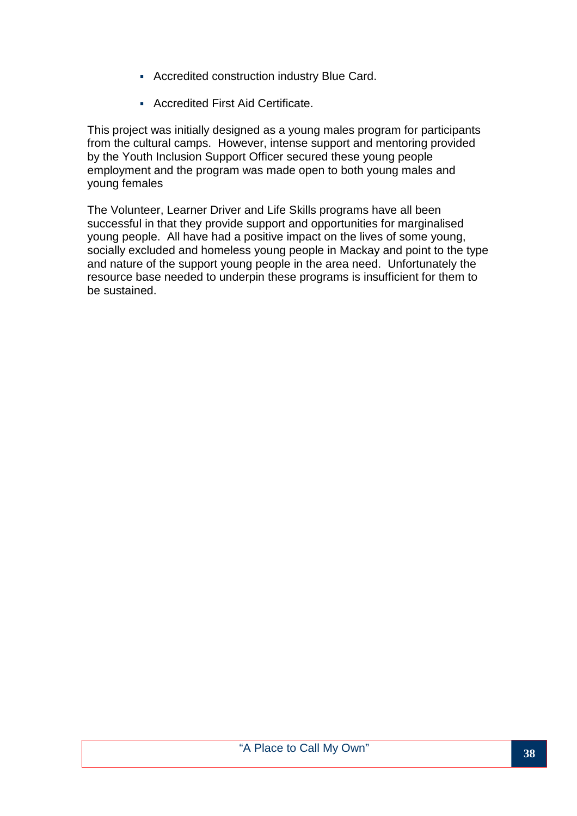- Accredited construction industry Blue Card.
- Accredited First Aid Certificate.

This project was initially designed as a young males program for participants from the cultural camps. However, intense support and mentoring provided by the Youth Inclusion Support Officer secured these young people employment and the program was made open to both young males and young females

The Volunteer, Learner Driver and Life Skills programs have all been successful in that they provide support and opportunities for marginalised young people. All have had a positive impact on the lives of some young, socially excluded and homeless young people in Mackay and point to the type and nature of the support young people in the area need. Unfortunately the resource base needed to underpin these programs is insufficient for them to be sustained.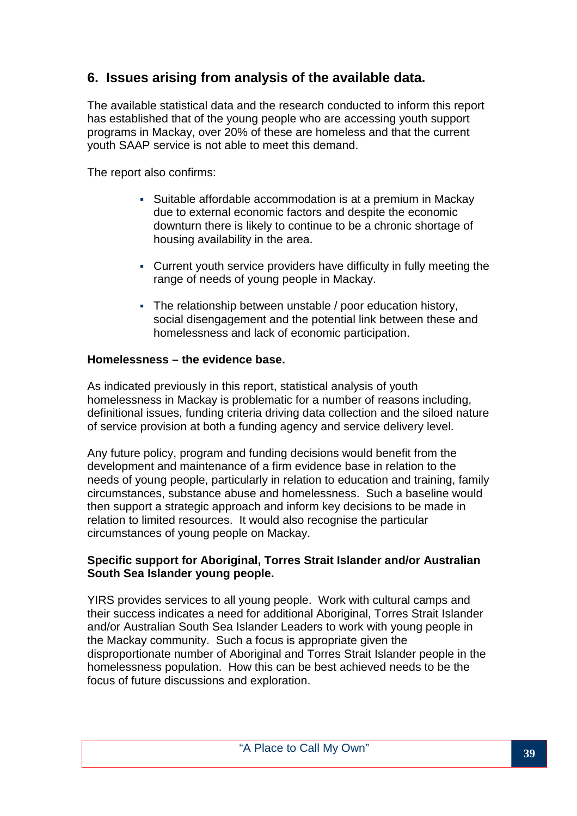## **6. Issues arising from analysis of the available data.**

The available statistical data and the research conducted to inform this report has established that of the young people who are accessing youth support programs in Mackay, over 20% of these are homeless and that the current youth SAAP service is not able to meet this demand.

The report also confirms:

- Suitable affordable accommodation is at a premium in Mackay due to external economic factors and despite the economic downturn there is likely to continue to be a chronic shortage of housing availability in the area.
- Current youth service providers have difficulty in fully meeting the range of needs of young people in Mackay.
- The relationship between unstable / poor education history, social disengagement and the potential link between these and homelessness and lack of economic participation.

#### **Homelessness – the evidence base.**

As indicated previously in this report, statistical analysis of youth homelessness in Mackay is problematic for a number of reasons including, definitional issues, funding criteria driving data collection and the siloed nature of service provision at both a funding agency and service delivery level.

Any future policy, program and funding decisions would benefit from the development and maintenance of a firm evidence base in relation to the needs of young people, particularly in relation to education and training, family circumstances, substance abuse and homelessness. Such a baseline would then support a strategic approach and inform key decisions to be made in relation to limited resources. It would also recognise the particular circumstances of young people on Mackay.

#### **Specific support for Aboriginal, Torres Strait Islander and/or Australian South Sea Islander young people.**

YIRS provides services to all young people. Work with cultural camps and their success indicates a need for additional Aboriginal, Torres Strait Islander and/or Australian South Sea Islander Leaders to work with young people in the Mackay community. Such a focus is appropriate given the disproportionate number of Aboriginal and Torres Strait Islander people in the homelessness population. How this can be best achieved needs to be the focus of future discussions and exploration.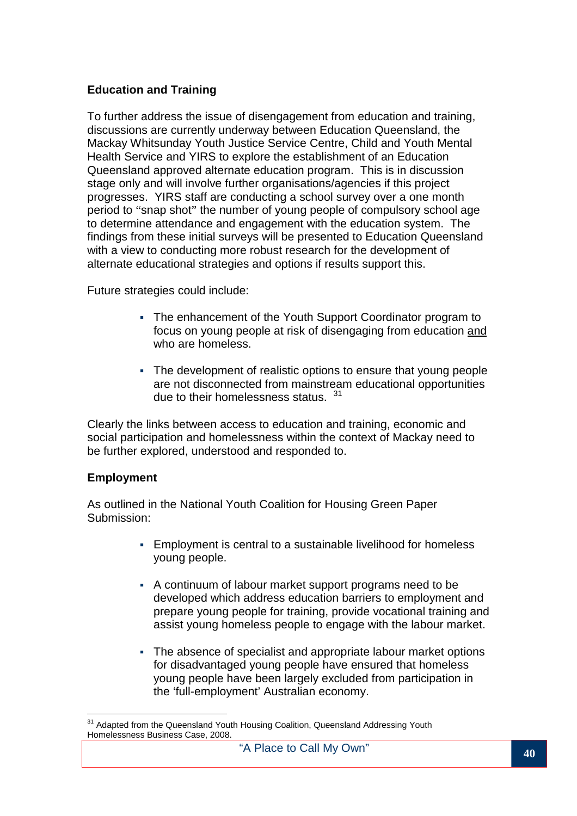#### **Education and Training**

To further address the issue of disengagement from education and training, discussions are currently underway between Education Queensland, the Mackay Whitsunday Youth Justice Service Centre, Child and Youth Mental Health Service and YIRS to explore the establishment of an Education Queensland approved alternate education program. This is in discussion stage only and will involve further organisations/agencies if this project progresses. YIRS staff are conducting a school survey over a one month period to "snap shot" the number of young people of compulsory school age to determine attendance and engagement with the education system. The findings from these initial surveys will be presented to Education Queensland with a view to conducting more robust research for the development of alternate educational strategies and options if results support this.

Future strategies could include:

- The enhancement of the Youth Support Coordinator program to focus on young people at risk of disengaging from education and who are homeless.
- The development of realistic options to ensure that young people are not disconnected from mainstream educational opportunities due to their homelessness status. 31

Clearly the links between access to education and training, economic and social participation and homelessness within the context of Mackay need to be further explored, understood and responded to.

#### **Employment**

As outlined in the National Youth Coalition for Housing Green Paper Submission:

- Employment is central to a sustainable livelihood for homeless young people.
- A continuum of labour market support programs need to be developed which address education barriers to employment and prepare young people for training, provide vocational training and assist young homeless people to engage with the labour market.
- The absence of specialist and appropriate labour market options for disadvantaged young people have ensured that homeless young people have been largely excluded from participation in the 'full-employment' Australian economy.

 $\overline{a}$ <sup>31</sup> Adapted from the Queensland Youth Housing Coalition, Queensland Addressing Youth Homelessness Business Case, 2008.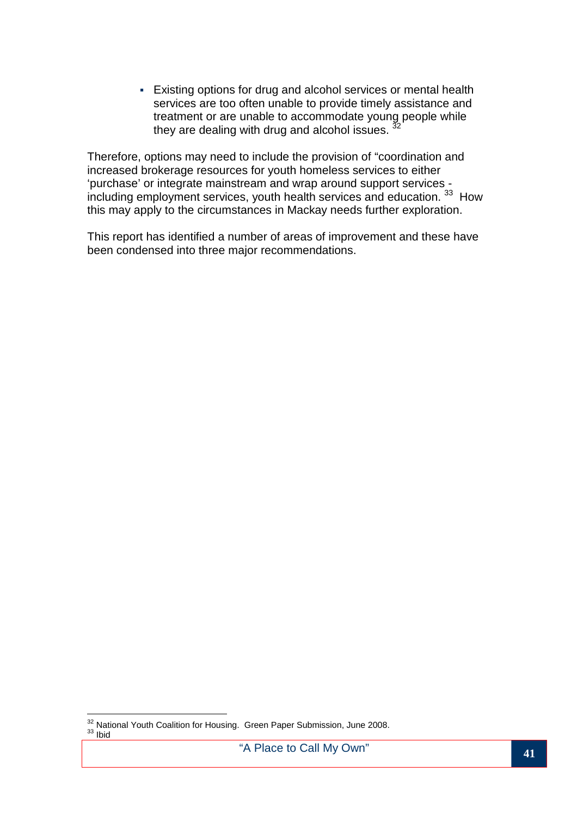Existing options for drug and alcohol services or mental health services are too often unable to provide timely assistance and treatment or are unable to accommodate young people while they are dealing with drug and alcohol issues.  $\frac{3}{2}$ 

Therefore, options may need to include the provision of "coordination and increased brokerage resources for youth homeless services to either 'purchase' or integrate mainstream and wrap around support services including employment services, youth health services and education. <sup>33</sup> How this may apply to the circumstances in Mackay needs further exploration.

This report has identified a number of areas of improvement and these have been condensed into three major recommendations.

 $\overline{a}$  $32<sup>32</sup>$  National Youth Coalition for Housing. Green Paper Submission, June 2008.  $33$   $l$ bid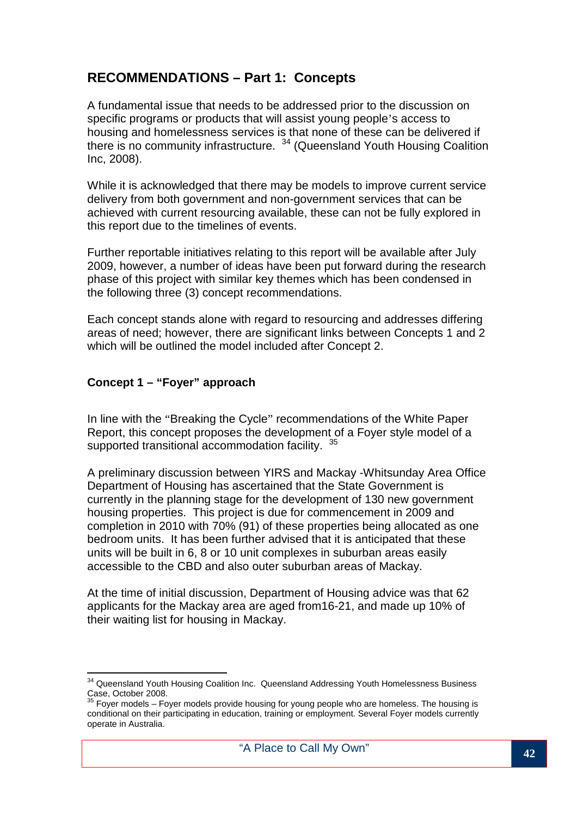## **RECOMMENDATIONS – Part 1: Concepts**

A fundamental issue that needs to be addressed prior to the discussion on specific programs or products that will assist young people's access to housing and homelessness services is that none of these can be delivered if there is no community infrastructure.  $34$  (Queensland Youth Housing Coalition Inc, 2008).

While it is acknowledged that there may be models to improve current service delivery from both government and non-government services that can be achieved with current resourcing available, these can not be fully explored in this report due to the timelines of events.

Further reportable initiatives relating to this report will be available after July 2009, however, a number of ideas have been put forward during the research phase of this project with similar key themes which has been condensed in the following three (3) concept recommendations.

Each concept stands alone with regard to resourcing and addresses differing areas of need; however, there are significant links between Concepts 1 and 2 which will be outlined the model included after Concept 2.

#### **Concept 1 – "Foyer" approach**

 $\overline{a}$ 

In line with the "Breaking the Cycle" recommendations of the White Paper Report, this concept proposes the development of a Foyer style model of a supported transitional accommodation facility. 35

A preliminary discussion between YIRS and Mackay -Whitsunday Area Office Department of Housing has ascertained that the State Government is currently in the planning stage for the development of 130 new government housing properties. This project is due for commencement in 2009 and completion in 2010 with 70% (91) of these properties being allocated as one bedroom units. It has been further advised that it is anticipated that these units will be built in 6, 8 or 10 unit complexes in suburban areas easily accessible to the CBD and also outer suburban areas of Mackay.

At the time of initial discussion, Department of Housing advice was that 62 applicants for the Mackay area are aged from16-21, and made up 10% of their waiting list for housing in Mackay.

<sup>&</sup>lt;sup>34</sup> Queensland Youth Housing Coalition Inc. Queensland Addressing Youth Homelessness Business Case, October 2008.

 $35$  Foyer models – Foyer models provide housing for young people who are homeless. The housing is conditional on their participating in education, training or employment. Several Foyer models currently operate in Australia.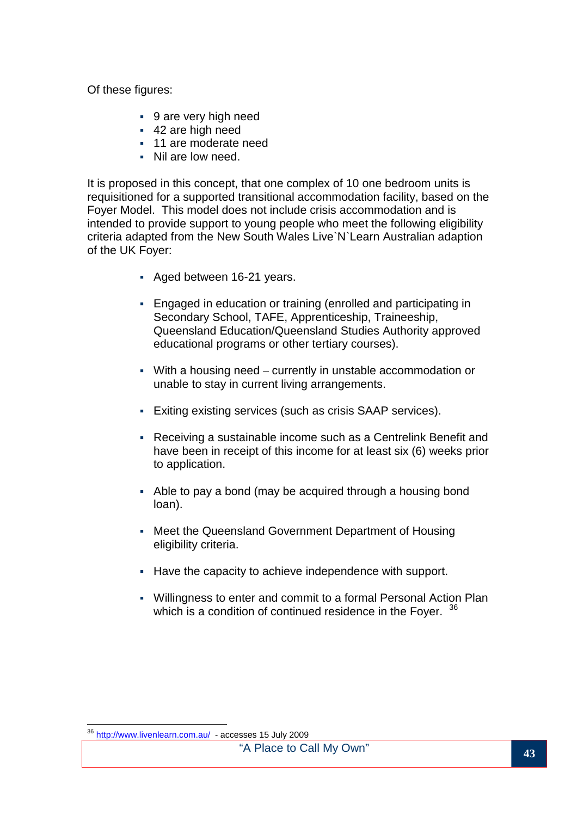Of these figures:

- 9 are very high need
- 42 are high need
- 11 are moderate need
- Nil are low need.

It is proposed in this concept, that one complex of 10 one bedroom units is requisitioned for a supported transitional accommodation facility, based on the Foyer Model. This model does not include crisis accommodation and is intended to provide support to young people who meet the following eligibility criteria adapted from the New South Wales Live`N`Learn Australian adaption of the UK Foyer:

- Aged between 16-21 years.
- Engaged in education or training (enrolled and participating in Secondary School, TAFE, Apprenticeship, Traineeship, Queensland Education/Queensland Studies Authority approved educational programs or other tertiary courses).
- With a housing need currently in unstable accommodation or unable to stay in current living arrangements.
- Exiting existing services (such as crisis SAAP services).
- Receiving a sustainable income such as a Centrelink Benefit and have been in receipt of this income for at least six (6) weeks prior to application.
- Able to pay a bond (may be acquired through a housing bond loan).
- Meet the Queensland Government Department of Housing eligibility criteria.
- Have the capacity to achieve independence with support.
- Willingness to enter and commit to a formal Personal Action Plan which is a condition of continued residence in the Foyer. <sup>36</sup>

 $\overline{a}$ 

<sup>&</sup>lt;sup>36</sup> http://www.livenlearn.com.au/ - accesses 15 July 2009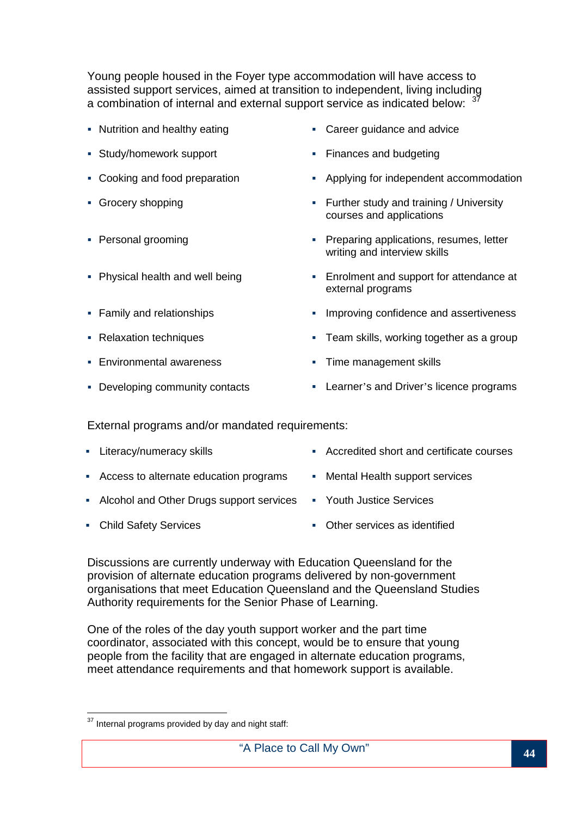Young people housed in the Foyer type accommodation will have access to assisted support services, aimed at transition to independent, living including a combination of internal and external support service as indicated below:  $37$ 

- 
- Study/homework support **Finances** and budgeting
- 
- 
- 
- 
- 
- 
- Environmental awareness **Time management skills**
- 
- Nutrition and healthy eating **Career guidance and advice** 
	-
- Cooking and food preparation **Applying for independent accommodation**
- Grocery shopping **Further study and training / University** courses and applications
- Personal grooming **Preparing applications, resumes, letter** writing and interview skills
- Physical health and well being Enrolment and support for attendance at external programs
- Family and relationships Improving confidence and assertiveness
- Relaxation techniques **Team skills, working together as a group** 
	-
- Developing community contacts **Learner's and Driver's licence programs**

External programs and/or mandated requirements:

- Literacy/numeracy skills **Accredited short and certificate courses •** Accredited short and certificate courses
- Access to alternate education programs Mental Health support services
- Alcohol and Other Drugs support services Youth Justice Services
- 
- 
- 
- 
- Child Safety Services **Child Safety Services Child Safety Services Child Safety Services Contract Child Safety Services**

Discussions are currently underway with Education Queensland for the provision of alternate education programs delivered by non-government organisations that meet Education Queensland and the Queensland Studies Authority requirements for the Senior Phase of Learning.

One of the roles of the day youth support worker and the part time coordinator, associated with this concept, would be to ensure that young people from the facility that are engaged in alternate education programs, meet attendance requirements and that homework support is available.

 $\overline{\phantom{a}}$  $37$  Internal programs provided by day and night staff: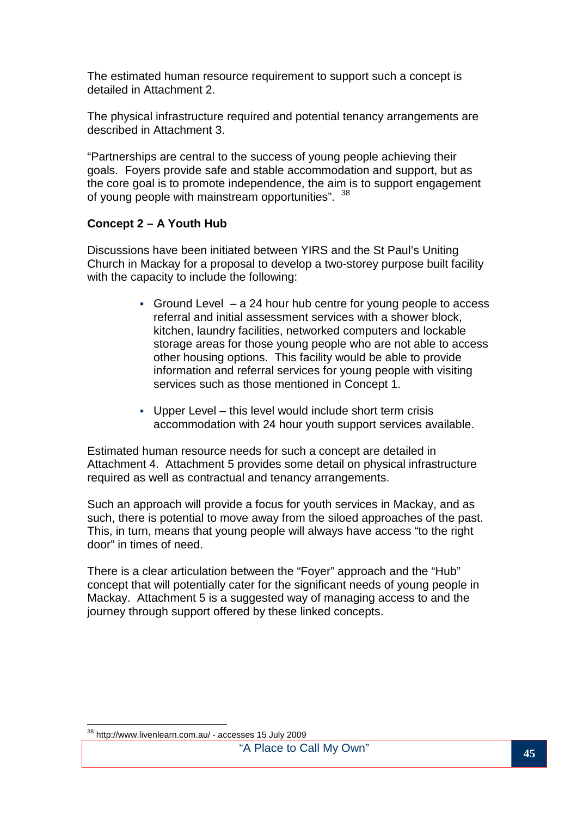The estimated human resource requirement to support such a concept is detailed in Attachment 2.

The physical infrastructure required and potential tenancy arrangements are described in Attachment 3.

"Partnerships are central to the success of young people achieving their goals. Foyers provide safe and stable accommodation and support, but as the core goal is to promote independence, the aim is to support engagement of young people with mainstream opportunities". 38

#### **Concept 2 – A Youth Hub**

Discussions have been initiated between YIRS and the St Paul's Uniting Church in Mackay for a proposal to develop a two-storey purpose built facility with the capacity to include the following:

- Ground Level  $-$  a 24 hour hub centre for young people to access referral and initial assessment services with a shower block, kitchen, laundry facilities, networked computers and lockable storage areas for those young people who are not able to access other housing options. This facility would be able to provide information and referral services for young people with visiting services such as those mentioned in Concept 1.
- Upper Level this level would include short term crisis accommodation with 24 hour youth support services available.

Estimated human resource needs for such a concept are detailed in Attachment 4. Attachment 5 provides some detail on physical infrastructure required as well as contractual and tenancy arrangements.

Such an approach will provide a focus for youth services in Mackay, and as such, there is potential to move away from the siloed approaches of the past. This, in turn, means that young people will always have access "to the right door" in times of need.

There is a clear articulation between the "Foyer" approach and the "Hub" concept that will potentially cater for the significant needs of young people in Mackay. Attachment 5 is a suggested way of managing access to and the journey through support offered by these linked concepts.

 $\overline{a}$ <sup>38</sup> http://www.livenlearn.com.au/ - accesses 15 July 2009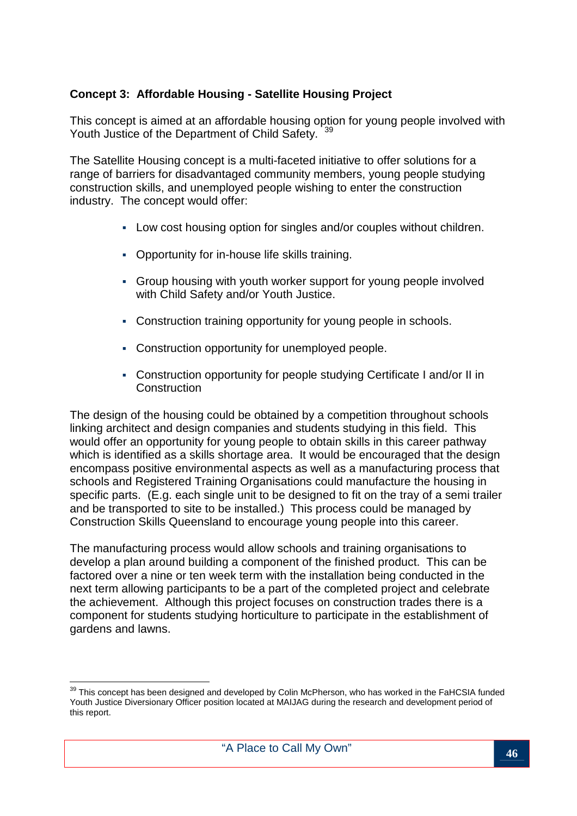#### **Concept 3: Affordable Housing - Satellite Housing Project**

This concept is aimed at an affordable housing option for young people involved with Youth Justice of the Department of Child Safety. 39

The Satellite Housing concept is a multi-faceted initiative to offer solutions for a range of barriers for disadvantaged community members, young people studying construction skills, and unemployed people wishing to enter the construction industry. The concept would offer:

- Low cost housing option for singles and/or couples without children.
- Opportunity for in-house life skills training.
- Group housing with youth worker support for young people involved with Child Safety and/or Youth Justice.
- Construction training opportunity for young people in schools.
- Construction opportunity for unemployed people.
- Construction opportunity for people studying Certificate I and/or II in **Construction**

The design of the housing could be obtained by a competition throughout schools linking architect and design companies and students studying in this field. This would offer an opportunity for young people to obtain skills in this career pathway which is identified as a skills shortage area. It would be encouraged that the design encompass positive environmental aspects as well as a manufacturing process that schools and Registered Training Organisations could manufacture the housing in specific parts. (E.g. each single unit to be designed to fit on the tray of a semi trailer and be transported to site to be installed.) This process could be managed by Construction Skills Queensland to encourage young people into this career.

The manufacturing process would allow schools and training organisations to develop a plan around building a component of the finished product. This can be factored over a nine or ten week term with the installation being conducted in the next term allowing participants to be a part of the completed project and celebrate the achievement. Although this project focuses on construction trades there is a component for students studying horticulture to participate in the establishment of gardens and lawns.

 $\overline{a}$  $39$  This concept has been designed and developed by Colin McPherson, who has worked in the FaHCSIA funded Youth Justice Diversionary Officer position located at MAIJAG during the research and development period of this report.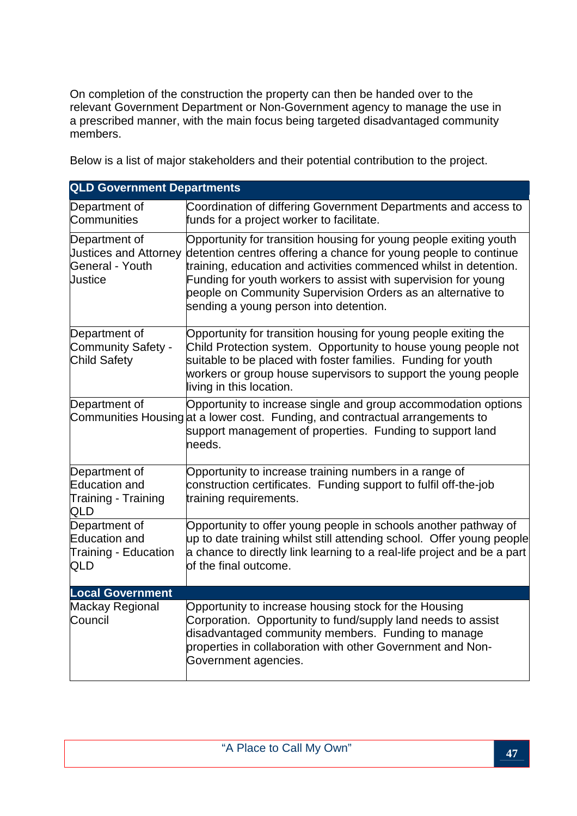On completion of the construction the property can then be handed over to the relevant Government Department or Non-Government agency to manage the use in a prescribed manner, with the main focus being targeted disadvantaged community members.

Below is a list of major stakeholders and their potential contribution to the project.

| <b>QLD Government Departments</b>                                           |                                                                                                                                                                                                                                                                                                                                                                                       |
|-----------------------------------------------------------------------------|---------------------------------------------------------------------------------------------------------------------------------------------------------------------------------------------------------------------------------------------------------------------------------------------------------------------------------------------------------------------------------------|
| Department of<br>Communities                                                | Coordination of differing Government Departments and access to<br>funds for a project worker to facilitate.                                                                                                                                                                                                                                                                           |
| Department of<br><b>Justices and Attorney</b><br>General - Youth<br>Justice | Opportunity for transition housing for young people exiting youth<br>detention centres offering a chance for young people to continue<br>training, education and activities commenced whilst in detention.<br>Funding for youth workers to assist with supervision for young<br>people on Community Supervision Orders as an alternative to<br>sending a young person into detention. |
| Department of<br>Community Safety -<br>Child Safety                         | Opportunity for transition housing for young people exiting the<br>Child Protection system. Opportunity to house young people not<br>suitable to be placed with foster families. Funding for youth<br>workers or group house supervisors to support the young people<br>living in this location.                                                                                      |
| Department of                                                               | Opportunity to increase single and group accommodation options<br>Communities Housing at a lower cost. Funding, and contractual arrangements to<br>support management of properties. Funding to support land<br>needs.                                                                                                                                                                |
| Department of<br>Education and<br>Training - Training<br>QLD                | Opportunity to increase training numbers in a range of<br>construction certificates. Funding support to fulfil off-the-job<br>training requirements.                                                                                                                                                                                                                                  |
| Department of<br>Education and<br>Training - Education<br>QLD               | Opportunity to offer young people in schools another pathway of<br>up to date training whilst still attending school. Offer young people<br>a chance to directly link learning to a real-life project and be a part<br>of the final outcome.                                                                                                                                          |
| <b>Local Government</b>                                                     |                                                                                                                                                                                                                                                                                                                                                                                       |
| Mackay Regional<br>Council                                                  | Opportunity to increase housing stock for the Housing<br>Corporation. Opportunity to fund/supply land needs to assist<br>disadvantaged community members. Funding to manage<br>properties in collaboration with other Government and Non-<br>Government agencies.                                                                                                                     |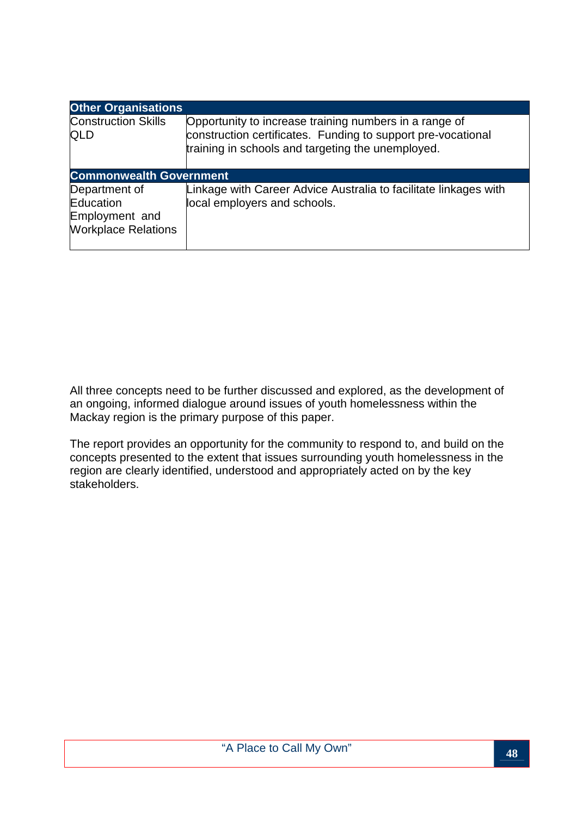| <b>Other Organisations</b>                                                 |                                                                                                                                                                             |  |  |  |  |  |  |  |  |  |
|----------------------------------------------------------------------------|-----------------------------------------------------------------------------------------------------------------------------------------------------------------------------|--|--|--|--|--|--|--|--|--|
| <b>Construction Skills</b><br><b>QLD</b>                                   | Opportunity to increase training numbers in a range of<br>construction certificates. Funding to support pre-vocational<br>training in schools and targeting the unemployed. |  |  |  |  |  |  |  |  |  |
| <b>Commonwealth Government</b>                                             |                                                                                                                                                                             |  |  |  |  |  |  |  |  |  |
| Department of<br>Education<br>Employment and<br><b>Workplace Relations</b> | Linkage with Career Advice Australia to facilitate linkages with<br>local employers and schools.                                                                            |  |  |  |  |  |  |  |  |  |

All three concepts need to be further discussed and explored, as the development of an ongoing, informed dialogue around issues of youth homelessness within the Mackay region is the primary purpose of this paper.

The report provides an opportunity for the community to respond to, and build on the concepts presented to the extent that issues surrounding youth homelessness in the region are clearly identified, understood and appropriately acted on by the key stakeholders.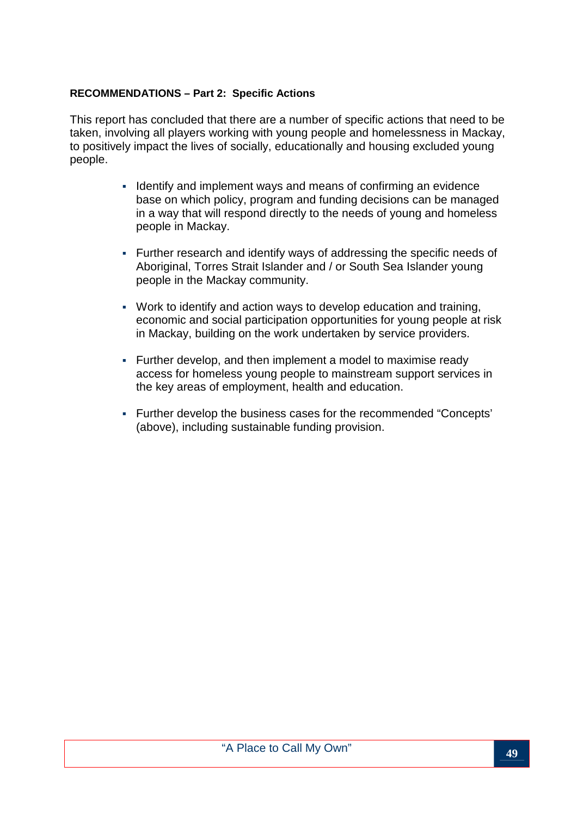#### **RECOMMENDATIONS – Part 2: Specific Actions**

This report has concluded that there are a number of specific actions that need to be taken, involving all players working with young people and homelessness in Mackay, to positively impact the lives of socially, educationally and housing excluded young people.

- I dentify and implement ways and means of confirming an evidence base on which policy, program and funding decisions can be managed in a way that will respond directly to the needs of young and homeless people in Mackay.
- Further research and identify ways of addressing the specific needs of Aboriginal, Torres Strait Islander and / or South Sea Islander young people in the Mackay community.
- Work to identify and action ways to develop education and training, economic and social participation opportunities for young people at risk in Mackay, building on the work undertaken by service providers.
- Further develop, and then implement a model to maximise ready access for homeless young people to mainstream support services in the key areas of employment, health and education.
- Further develop the business cases for the recommended "Concepts' (above), including sustainable funding provision.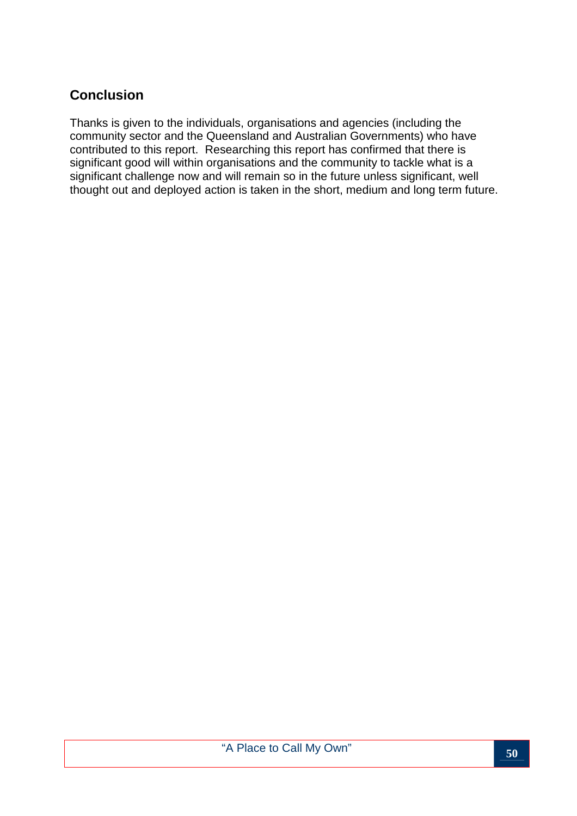## **Conclusion**

Thanks is given to the individuals, organisations and agencies (including the community sector and the Queensland and Australian Governments) who have contributed to this report. Researching this report has confirmed that there is significant good will within organisations and the community to tackle what is a significant challenge now and will remain so in the future unless significant, well thought out and deployed action is taken in the short, medium and long term future.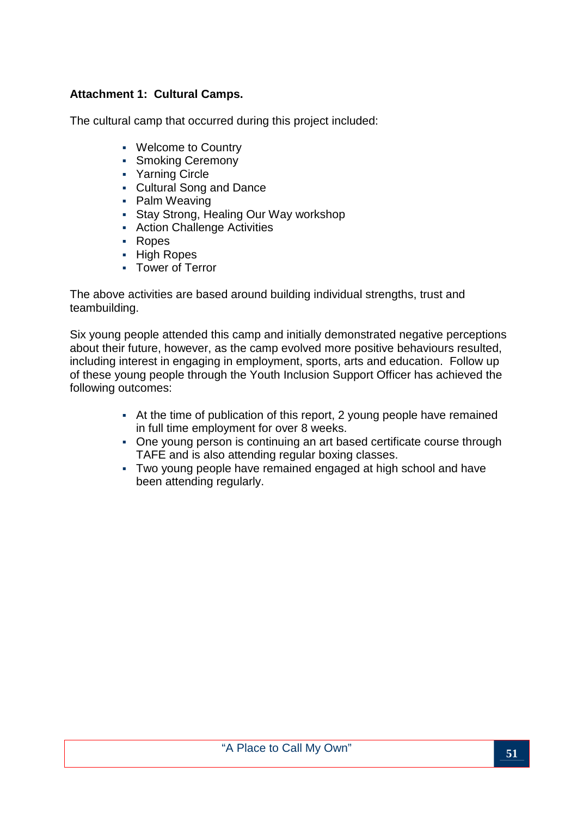#### **Attachment 1: Cultural Camps.**

The cultural camp that occurred during this project included:

- Welcome to Country
- **Smoking Ceremony**
- Yarning Circle
- Cultural Song and Dance
- Palm Weaving
- Stay Strong, Healing Our Way workshop
- Action Challenge Activities
- Ropes
- High Ropes
- Tower of Terror

The above activities are based around building individual strengths, trust and teambuilding.

Six young people attended this camp and initially demonstrated negative perceptions about their future, however, as the camp evolved more positive behaviours resulted, including interest in engaging in employment, sports, arts and education. Follow up of these young people through the Youth Inclusion Support Officer has achieved the following outcomes:

- At the time of publication of this report, 2 young people have remained in full time employment for over 8 weeks.
- One young person is continuing an art based certificate course through TAFE and is also attending regular boxing classes.
- Two young people have remained engaged at high school and have been attending regularly.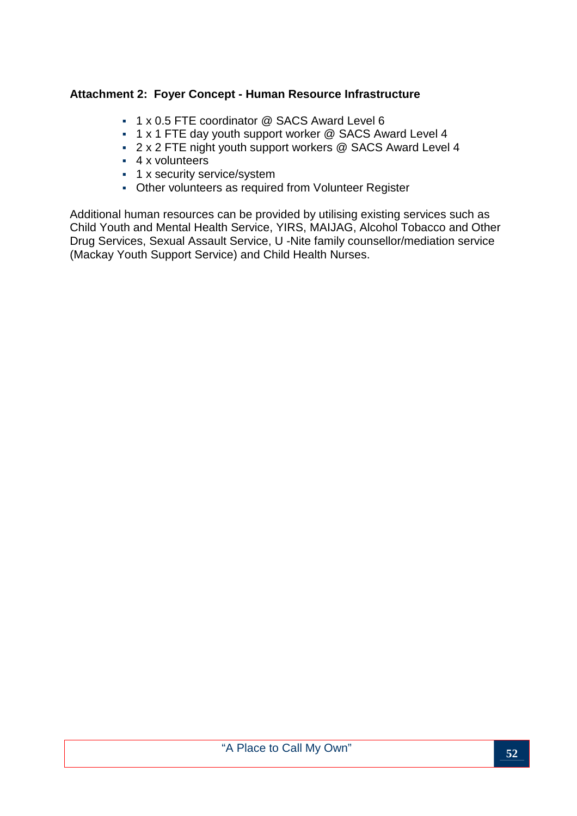#### **Attachment 2: Foyer Concept - Human Resource Infrastructure**

- 1 x 0.5 FTE coordinator @ SACS Award Level 6
- 1 x 1 FTE day youth support worker @ SACS Award Level 4
- 2 x 2 FTE night youth support workers @ SACS Award Level 4
- 4 x volunteers
- **1** x security service/system
- Other volunteers as required from Volunteer Register

Additional human resources can be provided by utilising existing services such as Child Youth and Mental Health Service, YIRS, MAIJAG, Alcohol Tobacco and Other Drug Services, Sexual Assault Service, U -Nite family counsellor/mediation service (Mackay Youth Support Service) and Child Health Nurses.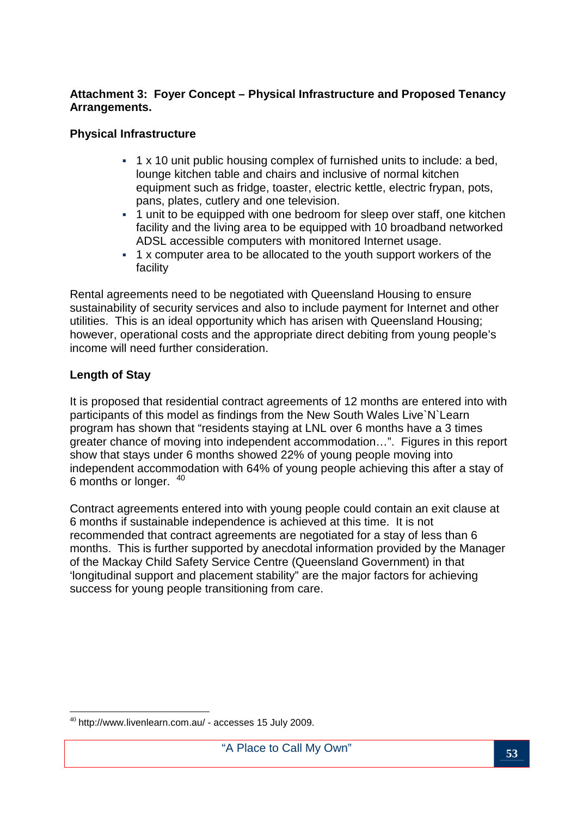#### **Attachment 3: Foyer Concept – Physical Infrastructure and Proposed Tenancy Arrangements.**

#### **Physical Infrastructure**

- $\cdot$  1 x 10 unit public housing complex of furnished units to include: a bed, lounge kitchen table and chairs and inclusive of normal kitchen equipment such as fridge, toaster, electric kettle, electric frypan, pots, pans, plates, cutlery and one television.
- 1 unit to be equipped with one bedroom for sleep over staff, one kitchen facility and the living area to be equipped with 10 broadband networked ADSL accessible computers with monitored Internet usage.
- 1 x computer area to be allocated to the youth support workers of the facility

Rental agreements need to be negotiated with Queensland Housing to ensure sustainability of security services and also to include payment for Internet and other utilities. This is an ideal opportunity which has arisen with Queensland Housing; however, operational costs and the appropriate direct debiting from young people's income will need further consideration.

#### **Length of Stay**

It is proposed that residential contract agreements of 12 months are entered into with participants of this model as findings from the New South Wales Live`N`Learn program has shown that "residents staying at LNL over 6 months have a 3 times greater chance of moving into independent accommodation…". Figures in this report show that stays under 6 months showed 22% of young people moving into independent accommodation with 64% of young people achieving this after a stay of 6 months or longer. <sup>40</sup>

Contract agreements entered into with young people could contain an exit clause at 6 months if sustainable independence is achieved at this time. It is not recommended that contract agreements are negotiated for a stay of less than 6 months. This is further supported by anecdotal information provided by the Manager of the Mackay Child Safety Service Centre (Queensland Government) in that 'longitudinal support and placement stability" are the major factors for achieving success for young people transitioning from care.

 $\overline{a}$ <sup>40</sup> http://www.livenlearn.com.au/ - accesses 15 July 2009.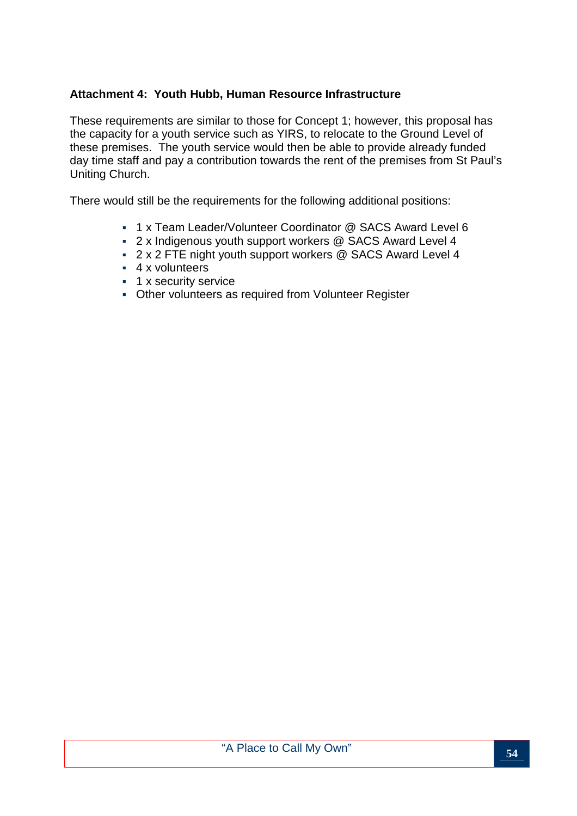#### **Attachment 4: Youth Hubb, Human Resource Infrastructure**

These requirements are similar to those for Concept 1; however, this proposal has the capacity for a youth service such as YIRS, to relocate to the Ground Level of these premises. The youth service would then be able to provide already funded day time staff and pay a contribution towards the rent of the premises from St Paul's Uniting Church.

There would still be the requirements for the following additional positions:

- 1 x Team Leader/Volunteer Coordinator @ SACS Award Level 6
- 2 x Indigenous youth support workers @ SACS Award Level 4
- 2 x 2 FTE night youth support workers @ SACS Award Level 4
- 4 x volunteers
- **1 x security service**
- Other volunteers as required from Volunteer Register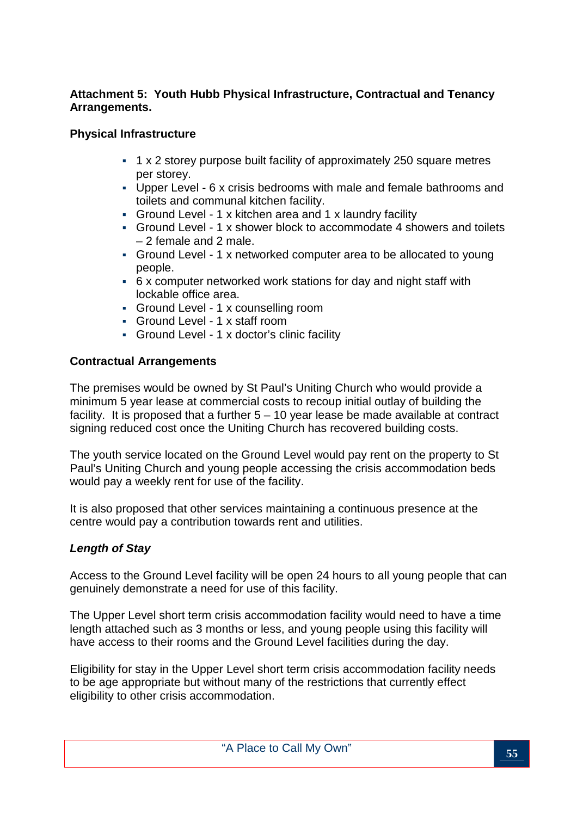#### **Attachment 5: Youth Hubb Physical Infrastructure, Contractual and Tenancy Arrangements.**

#### **Physical Infrastructure**

- 1 x 2 storey purpose built facility of approximately 250 square metres per storey.
- Upper Level 6 x crisis bedrooms with male and female bathrooms and toilets and communal kitchen facility.
- Ground Level 1 x kitchen area and 1 x laundry facility
- Ground Level 1 x shower block to accommodate 4 showers and toilets – 2 female and 2 male.
- Ground Level 1 x networked computer area to be allocated to young people.
- 6 x computer networked work stations for day and night staff with lockable office area.
- Ground Level 1 x counselling room
- Ground Level 1 x staff room
- Ground Level 1 x doctor's clinic facility

#### **Contractual Arrangements**

The premises would be owned by St Paul's Uniting Church who would provide a minimum 5 year lease at commercial costs to recoup initial outlay of building the facility. It is proposed that a further  $5 - 10$  year lease be made available at contract signing reduced cost once the Uniting Church has recovered building costs.

The youth service located on the Ground Level would pay rent on the property to St Paul's Uniting Church and young people accessing the crisis accommodation beds would pay a weekly rent for use of the facility.

It is also proposed that other services maintaining a continuous presence at the centre would pay a contribution towards rent and utilities.

#### **Length of Stay**

Access to the Ground Level facility will be open 24 hours to all young people that can genuinely demonstrate a need for use of this facility.

The Upper Level short term crisis accommodation facility would need to have a time length attached such as 3 months or less, and young people using this facility will have access to their rooms and the Ground Level facilities during the day.

Eligibility for stay in the Upper Level short term crisis accommodation facility needs to be age appropriate but without many of the restrictions that currently effect eligibility to other crisis accommodation.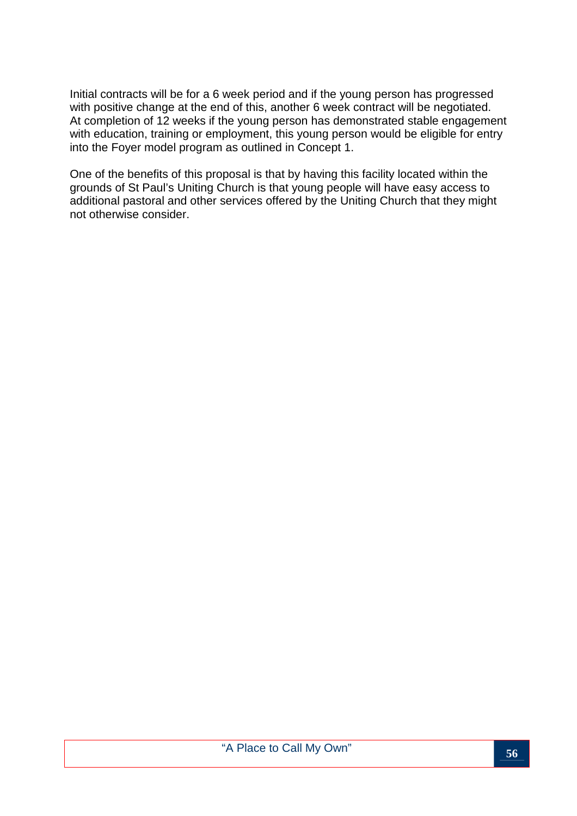Initial contracts will be for a 6 week period and if the young person has progressed with positive change at the end of this, another 6 week contract will be negotiated. At completion of 12 weeks if the young person has demonstrated stable engagement with education, training or employment, this young person would be eligible for entry into the Foyer model program as outlined in Concept 1.

One of the benefits of this proposal is that by having this facility located within the grounds of St Paul's Uniting Church is that young people will have easy access to additional pastoral and other services offered by the Uniting Church that they might not otherwise consider.